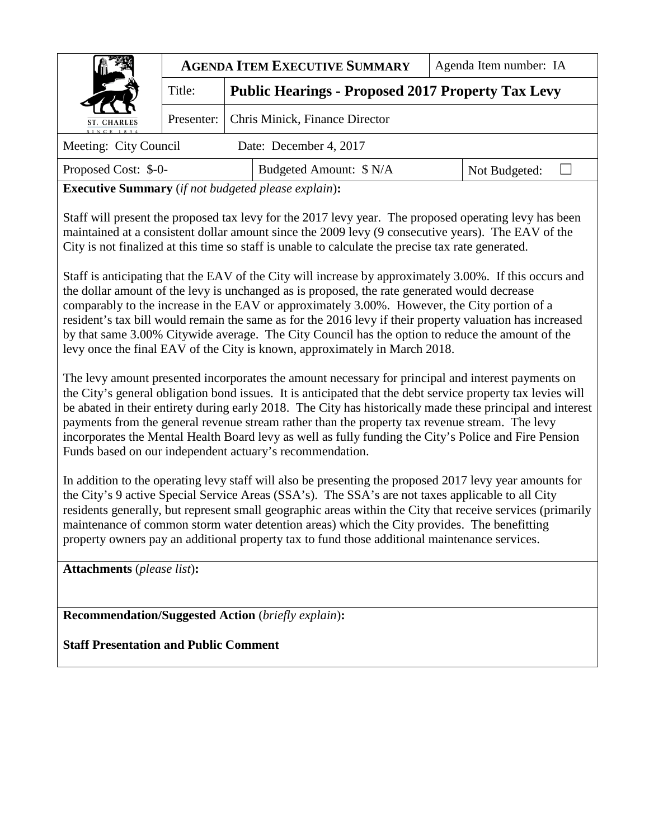|                       | <b>AGENDA ITEM EXECUTIVE SUMMARY</b> |                                             | Agenda Item number: IA                                   |               |  |
|-----------------------|--------------------------------------|---------------------------------------------|----------------------------------------------------------|---------------|--|
| Title:                |                                      |                                             | <b>Public Hearings - Proposed 2017 Property Tax Levy</b> |               |  |
| ST. CHARLES           |                                      | Presenter:   Chris Minick, Finance Director |                                                          |               |  |
| Meeting: City Council |                                      |                                             | Date: December 4, 2017                                   |               |  |
| Proposed Cost: \$-0-  |                                      | Budgeted Amount: \$ N/A                     |                                                          | Not Budgeted: |  |

**Executive Summary** (*if not budgeted please explain*)**:** 

Staff will present the proposed tax levy for the 2017 levy year. The proposed operating levy has been maintained at a consistent dollar amount since the 2009 levy (9 consecutive years). The EAV of the City is not finalized at this time so staff is unable to calculate the precise tax rate generated.

Staff is anticipating that the EAV of the City will increase by approximately 3.00%. If this occurs and the dollar amount of the levy is unchanged as is proposed, the rate generated would decrease comparably to the increase in the EAV or approximately 3.00%. However, the City portion of a resident's tax bill would remain the same as for the 2016 levy if their property valuation has increased by that same 3.00% Citywide average. The City Council has the option to reduce the amount of the levy once the final EAV of the City is known, approximately in March 2018.

The levy amount presented incorporates the amount necessary for principal and interest payments on the City's general obligation bond issues. It is anticipated that the debt service property tax levies will be abated in their entirety during early 2018. The City has historically made these principal and interest payments from the general revenue stream rather than the property tax revenue stream. The levy incorporates the Mental Health Board levy as well as fully funding the City's Police and Fire Pension Funds based on our independent actuary's recommendation.

In addition to the operating levy staff will also be presenting the proposed 2017 levy year amounts for the City's 9 active Special Service Areas (SSA's). The SSA's are not taxes applicable to all City residents generally, but represent small geographic areas within the City that receive services (primarily maintenance of common storm water detention areas) which the City provides. The benefitting property owners pay an additional property tax to fund those additional maintenance services.

**Attachments** (*please list*)**:** 

**Recommendation/Suggested Action** (*briefly explain*)**:** 

**Staff Presentation and Public Comment**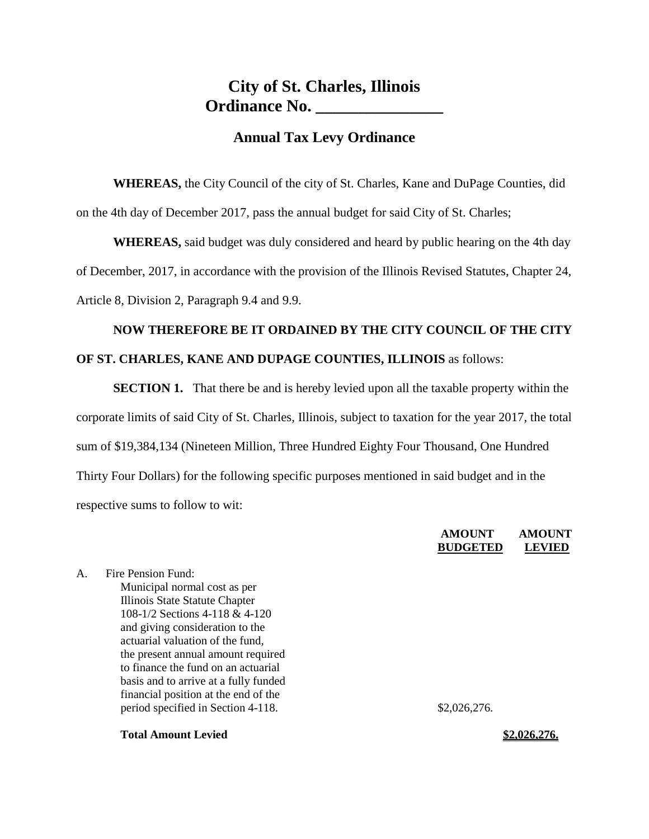#### **Annual Tax Levy Ordinance**

**WHEREAS,** the City Council of the city of St. Charles, Kane and DuPage Counties, did on the 4th day of December 2017, pass the annual budget for said City of St. Charles;

**WHEREAS,** said budget was duly considered and heard by public hearing on the 4th day of December, 2017, in accordance with the provision of the Illinois Revised Statutes, Chapter 24, Article 8, Division 2, Paragraph 9.4 and 9.9.

# **NOW THEREFORE BE IT ORDAINED BY THE CITY COUNCIL OF THE CITY OF ST. CHARLES, KANE AND DUPAGE COUNTIES, ILLINOIS** as follows:

**SECTION 1.** That there be and is hereby levied upon all the taxable property within the corporate limits of said City of St. Charles, Illinois, subject to taxation for the year 2017, the total sum of \$19,384,134 (Nineteen Million, Three Hundred Eighty Four Thousand, One Hundred Thirty Four Dollars) for the following specific purposes mentioned in said budget and in the respective sums to follow to wit:

#### **AMOUNT AMOUNT BUDGETED LEVIED**

A. Fire Pension Fund: Municipal normal cost as per Illinois State Statute Chapter 108-1/2 Sections 4-118 & 4-120 and giving consideration to the actuarial valuation of the fund, the present annual amount required to finance the fund on an actuarial basis and to arrive at a fully funded financial position at the end of the period specified in Section 4-118. \$2,026,276.

**Total Amount Levied \$2.026,276.**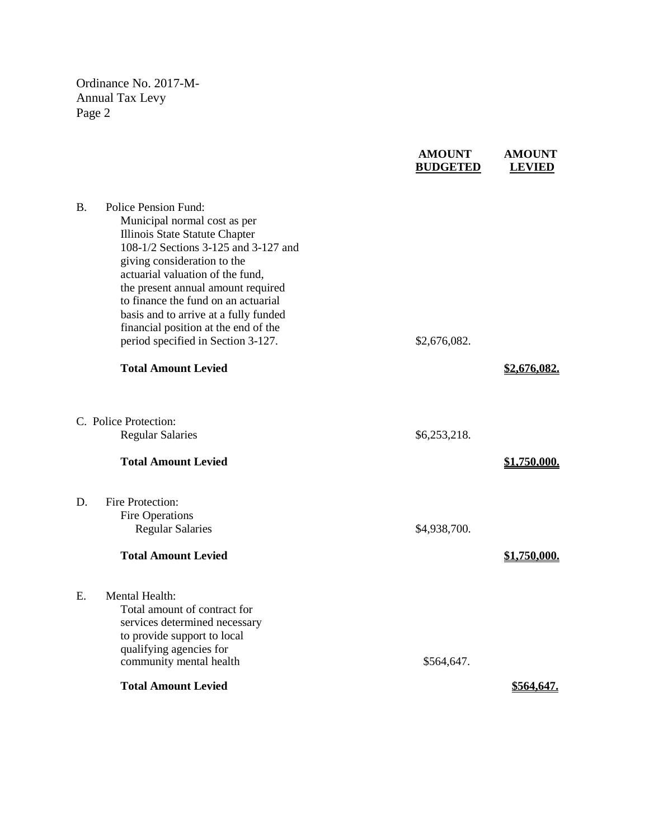|           |                                                                                                                                                                                                                                                                                                                                | <b>BUDGETED</b> | <b>LEVIED</b> |
|-----------|--------------------------------------------------------------------------------------------------------------------------------------------------------------------------------------------------------------------------------------------------------------------------------------------------------------------------------|-----------------|---------------|
| <b>B.</b> | <b>Police Pension Fund:</b><br>Municipal normal cost as per<br>Illinois State Statute Chapter<br>108-1/2 Sections 3-125 and 3-127 and<br>giving consideration to the<br>actuarial valuation of the fund,<br>the present annual amount required<br>to finance the fund on an actuarial<br>basis and to arrive at a fully funded |                 |               |
|           | financial position at the end of the<br>period specified in Section 3-127.                                                                                                                                                                                                                                                     | \$2,676,082.    |               |
|           | <b>Total Amount Levied</b>                                                                                                                                                                                                                                                                                                     |                 | \$2,676,082.  |
|           | C. Police Protection:<br><b>Regular Salaries</b>                                                                                                                                                                                                                                                                               | \$6,253,218.    |               |
|           | <b>Total Amount Levied</b>                                                                                                                                                                                                                                                                                                     |                 | \$1,750,000.  |
| D.        | <b>Fire Protection:</b><br><b>Fire Operations</b><br><b>Regular Salaries</b><br><b>Total Amount Levied</b>                                                                                                                                                                                                                     | \$4,938,700.    | \$1,750,000.  |
| Е.        | Mental Health:<br>Total amount of contract for<br>services determined necessary<br>to provide support to local<br>qualifying agencies for<br>community mental health                                                                                                                                                           | \$564,647.      |               |
|           | <b>Total Amount Levied</b>                                                                                                                                                                                                                                                                                                     |                 | \$564,647.    |
|           |                                                                                                                                                                                                                                                                                                                                |                 |               |

**AMOUNT AMOUNT**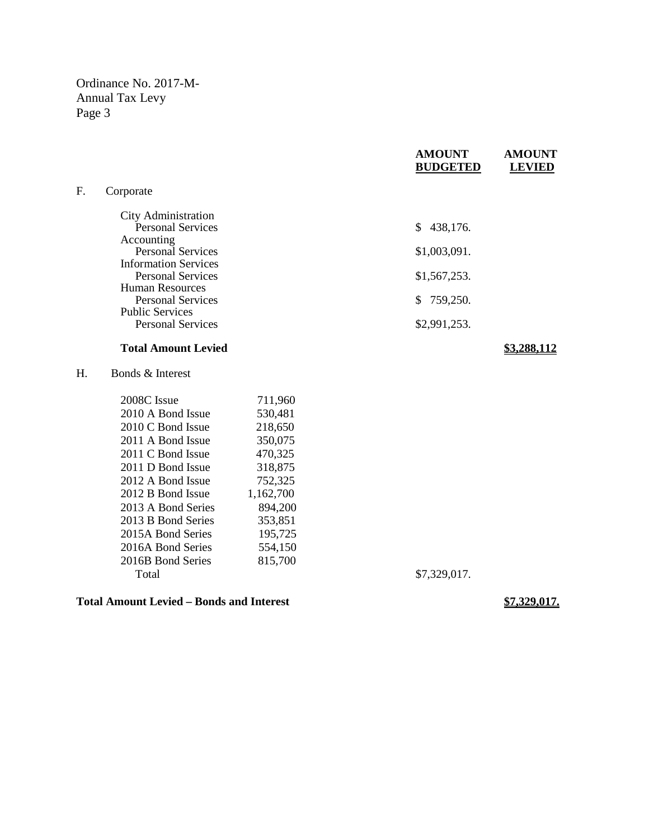|    |                             | <b>AMOUNT</b><br><b>BUDGETED</b> | <b>AMOUNT</b><br><b>LEVIED</b> |
|----|-----------------------------|----------------------------------|--------------------------------|
| F. | Corporate                   |                                  |                                |
|    | City Administration         |                                  |                                |
|    | <b>Personal Services</b>    | 438,176.<br>S.                   |                                |
|    | Accounting                  |                                  |                                |
|    | <b>Personal Services</b>    | \$1,003,091.                     |                                |
|    | <b>Information Services</b> |                                  |                                |
|    | <b>Personal Services</b>    | \$1,567,253.                     |                                |
|    | <b>Human Resources</b>      |                                  |                                |
|    | <b>Personal Services</b>    | 759,250.<br>S.                   |                                |
|    | <b>Public Services</b>      |                                  |                                |
|    | <b>Personal Services</b>    | \$2,991,253.                     |                                |
|    | <b>Total Amount Levied</b>  |                                  |                                |

H. Bonds & Interest

| 711,960   |
|-----------|
| 530,481   |
| 218,650   |
| 350,075   |
| 470,325   |
| 318,875   |
| 752,325   |
| 1,162,700 |
| 894,200   |
| 353,851   |
| 195,725   |
| 554,150   |
| 815,700   |
|           |
|           |

#### **Total Amount Levied – Bonds and Interest \$7,329,017.**

\$7,329,017.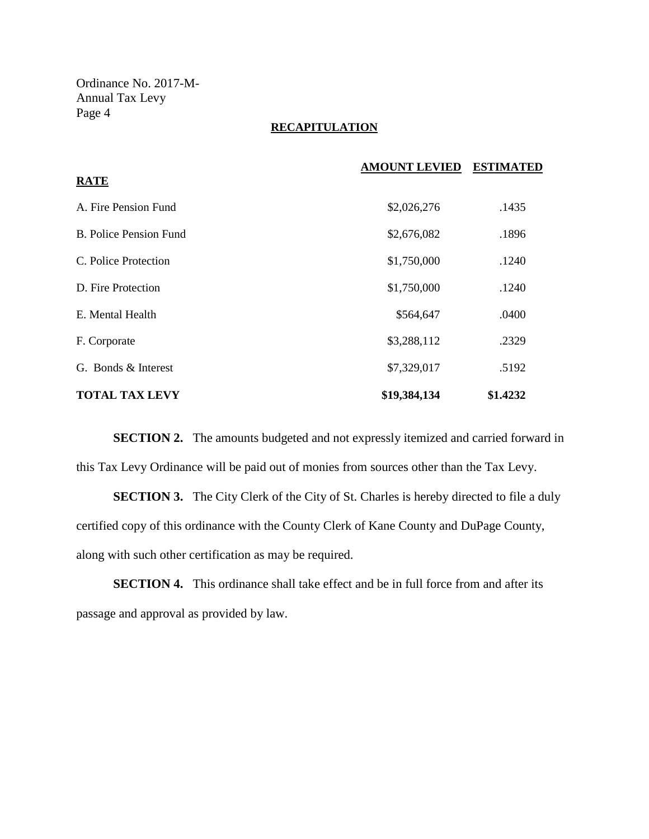#### **RECAPITULATION**

|                               | <b>AMOUNT LEVIED</b> | <b>ESTIMATED</b> |
|-------------------------------|----------------------|------------------|
| <b>RATE</b>                   |                      |                  |
| A. Fire Pension Fund          | \$2,026,276          | .1435            |
| <b>B.</b> Police Pension Fund | \$2,676,082          | .1896            |
| C. Police Protection          | \$1,750,000          | .1240            |
| D. Fire Protection            | \$1,750,000          | .1240            |
| E. Mental Health              | \$564,647            | .0400            |
| F. Corporate                  | \$3,288,112          | .2329            |
| G. Bonds & Interest           | \$7,329,017          | .5192            |
| <b>TOTAL TAX LEVY</b>         | \$19,384,134         | \$1.4232         |

**SECTION 2.** The amounts budgeted and not expressly itemized and carried forward in this Tax Levy Ordinance will be paid out of monies from sources other than the Tax Levy.

**SECTION 3.** The City Clerk of the City of St. Charles is hereby directed to file a duly certified copy of this ordinance with the County Clerk of Kane County and DuPage County, along with such other certification as may be required.

**SECTION 4.** This ordinance shall take effect and be in full force from and after its passage and approval as provided by law.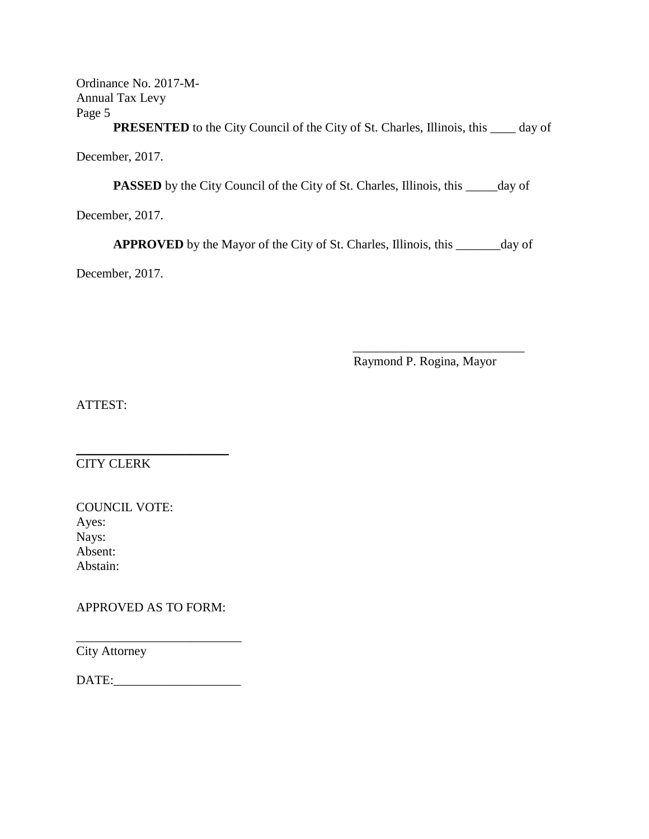**PRESENTED** to the City Council of the City of St. Charles, Illinois, this \_\_\_\_ day of

December, 2017.

**PASSED** by the City Council of the City of St. Charles, Illinois, this \_\_\_\_\_day of

December, 2017.

**APPROVED** by the Mayor of the City of St. Charles, Illinois, this \_\_\_\_\_\_\_day of

December, 2017.

 $\overline{\phantom{a}}$  , which is a set of the set of the set of the set of the set of the set of the set of the set of the set of the set of the set of the set of the set of the set of the set of the set of the set of the set of th Raymond P. Rogina, Mayor

ATTEST:

 $\overline{\phantom{a}}$  , where  $\overline{\phantom{a}}$  , where  $\overline{\phantom{a}}$  , where  $\overline{\phantom{a}}$  , where  $\overline{\phantom{a}}$ CITY CLERK

| <b>COUNCIL VOTE:</b> |  |
|----------------------|--|
| Ayes:                |  |
| Nays:                |  |
| Absent:              |  |
| Abstain:             |  |

APPROVED AS TO FORM:

City Attorney

DATE:\_\_\_\_\_\_\_\_\_\_\_\_\_\_\_\_\_\_\_\_

\_\_\_\_\_\_\_\_\_\_\_\_\_\_\_\_\_\_\_\_\_\_\_\_\_\_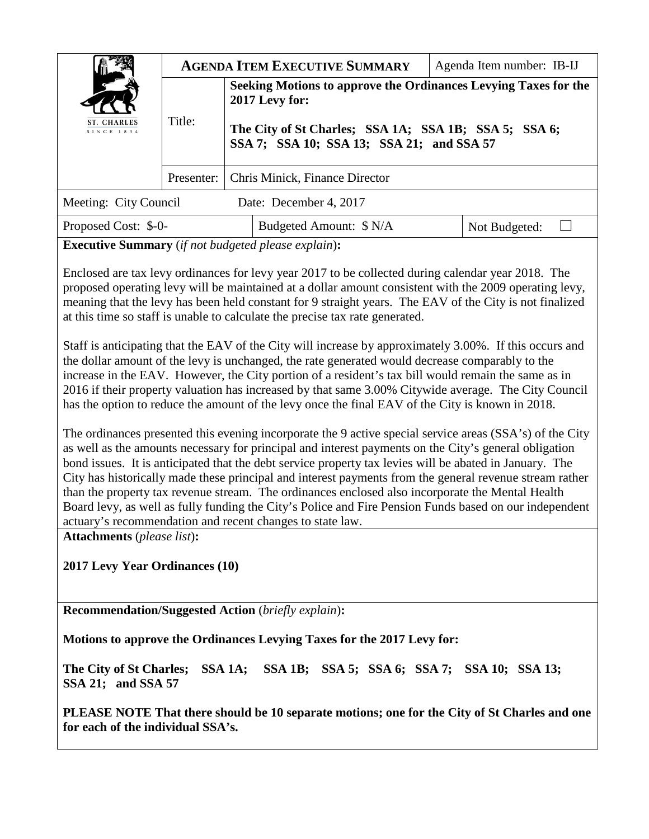|                           | <b>AGENDA ITEM EXECUTIVE SUMMARY</b><br>Agenda Item number: IB-IJ |                                                                                                    |  |               |  |
|---------------------------|-------------------------------------------------------------------|----------------------------------------------------------------------------------------------------|--|---------------|--|
|                           | Title:                                                            | Seeking Motions to approve the Ordinances Levying Taxes for the<br>2017 Levy for:                  |  |               |  |
| ST. CHARLES<br>SINCE 1834 |                                                                   | The City of St Charles; SSA 1A; SSA 1B; SSA 5; SSA 6;<br>SSA 7; SSA 10; SSA 13; SSA 21; and SSA 57 |  |               |  |
|                           | Presenter:                                                        | Chris Minick, Finance Director                                                                     |  |               |  |
| Meeting: City Council     |                                                                   | Date: December 4, 2017                                                                             |  |               |  |
| Proposed Cost: \$-0-      |                                                                   | Budgeted Amount: \$ N/A                                                                            |  | Not Budgeted: |  |

**Executive Summary** (*if not budgeted please explain*)**:** 

Enclosed are tax levy ordinances for levy year 2017 to be collected during calendar year 2018. The proposed operating levy will be maintained at a dollar amount consistent with the 2009 operating levy, meaning that the levy has been held constant for 9 straight years. The EAV of the City is not finalized at this time so staff is unable to calculate the precise tax rate generated.

Staff is anticipating that the EAV of the City will increase by approximately 3.00%. If this occurs and the dollar amount of the levy is unchanged, the rate generated would decrease comparably to the increase in the EAV. However, the City portion of a resident's tax bill would remain the same as in 2016 if their property valuation has increased by that same 3.00% Citywide average. The City Council has the option to reduce the amount of the levy once the final EAV of the City is known in 2018.

The ordinances presented this evening incorporate the 9 active special service areas (SSA's) of the City as well as the amounts necessary for principal and interest payments on the City's general obligation bond issues. It is anticipated that the debt service property tax levies will be abated in January. The City has historically made these principal and interest payments from the general revenue stream rather than the property tax revenue stream. The ordinances enclosed also incorporate the Mental Health Board levy, as well as fully funding the City's Police and Fire Pension Funds based on our independent actuary's recommendation and recent changes to state law.

**Attachments** (*please list*)**:** 

**2017 Levy Year Ordinances (10)**

**Recommendation/Suggested Action** (*briefly explain*)**:** 

**Motions to approve the Ordinances Levying Taxes for the 2017 Levy for:**

**The City of St Charles; SSA 1A; SSA 1B; SSA 5; SSA 6; SSA 7; SSA 10; SSA 13; SSA 21; and SSA 57**

**PLEASE NOTE That there should be 10 separate motions; one for the City of St Charles and one for each of the individual SSA's.**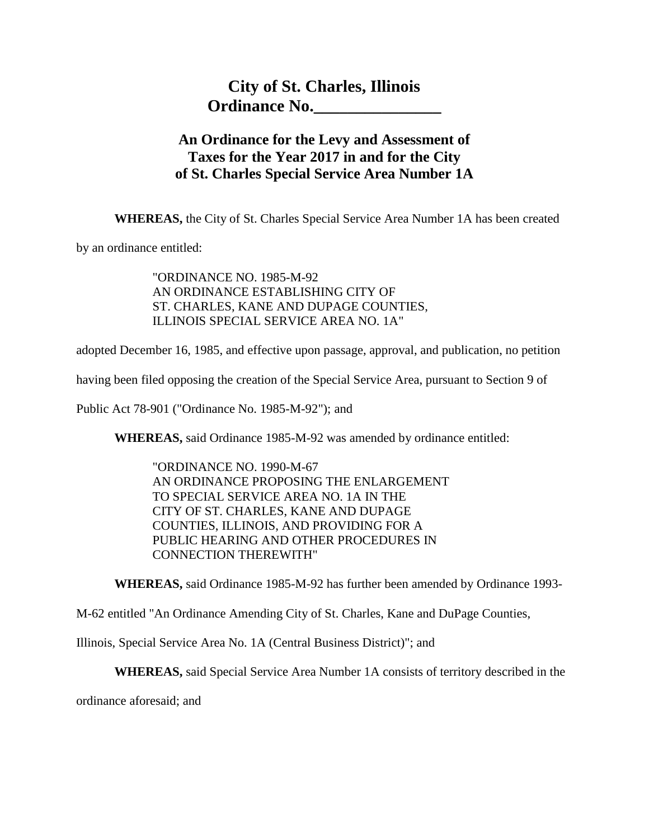# **City of St. Charles, Illinois Ordinance No.\_\_\_\_\_\_\_\_\_\_\_\_\_\_\_**

## **An Ordinance for the Levy and Assessment of Taxes for the Year 2017 in and for the City of St. Charles Special Service Area Number 1A**

**WHEREAS,** the City of St. Charles Special Service Area Number 1A has been created

by an ordinance entitled:

"ORDINANCE NO. 1985-M-92 AN ORDINANCE ESTABLISHING CITY OF ST. CHARLES, KANE AND DUPAGE COUNTIES, ILLINOIS SPECIAL SERVICE AREA NO. 1A"

adopted December 16, 1985, and effective upon passage, approval, and publication, no petition

having been filed opposing the creation of the Special Service Area, pursuant to Section 9 of

Public Act 78-901 ("Ordinance No. 1985-M-92"); and

**WHEREAS,** said Ordinance 1985-M-92 was amended by ordinance entitled:

"ORDINANCE NO. 1990-M-67 AN ORDINANCE PROPOSING THE ENLARGEMENT TO SPECIAL SERVICE AREA NO. 1A IN THE CITY OF ST. CHARLES, KANE AND DUPAGE COUNTIES, ILLINOIS, AND PROVIDING FOR A PUBLIC HEARING AND OTHER PROCEDURES IN CONNECTION THEREWITH"

**WHEREAS,** said Ordinance 1985-M-92 has further been amended by Ordinance 1993-

M-62 entitled "An Ordinance Amending City of St. Charles, Kane and DuPage Counties,

Illinois, Special Service Area No. 1A (Central Business District)"; and

**WHEREAS,** said Special Service Area Number 1A consists of territory described in the

ordinance aforesaid; and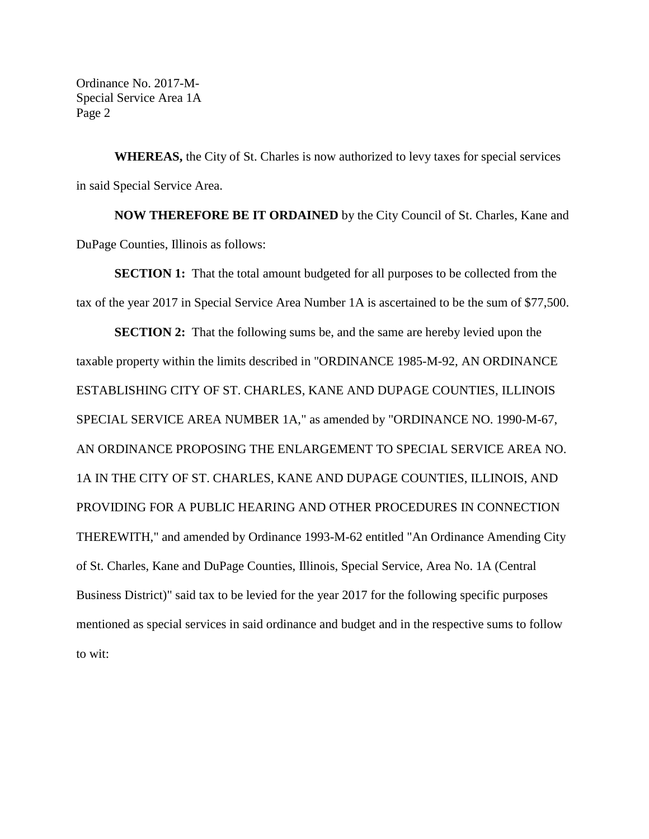Ordinance No. 2017-M-Special Service Area 1A Page 2

**WHEREAS,** the City of St. Charles is now authorized to levy taxes for special services in said Special Service Area.

**NOW THEREFORE BE IT ORDAINED** by the City Council of St. Charles, Kane and DuPage Counties, Illinois as follows:

**SECTION 1:** That the total amount budgeted for all purposes to be collected from the tax of the year 2017 in Special Service Area Number 1A is ascertained to be the sum of \$77,500.

**SECTION 2:** That the following sums be, and the same are hereby levied upon the taxable property within the limits described in "ORDINANCE 1985-M-92, AN ORDINANCE ESTABLISHING CITY OF ST. CHARLES, KANE AND DUPAGE COUNTIES, ILLINOIS SPECIAL SERVICE AREA NUMBER 1A," as amended by "ORDINANCE NO. 1990-M-67, AN ORDINANCE PROPOSING THE ENLARGEMENT TO SPECIAL SERVICE AREA NO. 1A IN THE CITY OF ST. CHARLES, KANE AND DUPAGE COUNTIES, ILLINOIS, AND PROVIDING FOR A PUBLIC HEARING AND OTHER PROCEDURES IN CONNECTION THEREWITH," and amended by Ordinance 1993-M-62 entitled "An Ordinance Amending City of St. Charles, Kane and DuPage Counties, Illinois, Special Service, Area No. 1A (Central Business District)" said tax to be levied for the year 2017 for the following specific purposes mentioned as special services in said ordinance and budget and in the respective sums to follow to wit: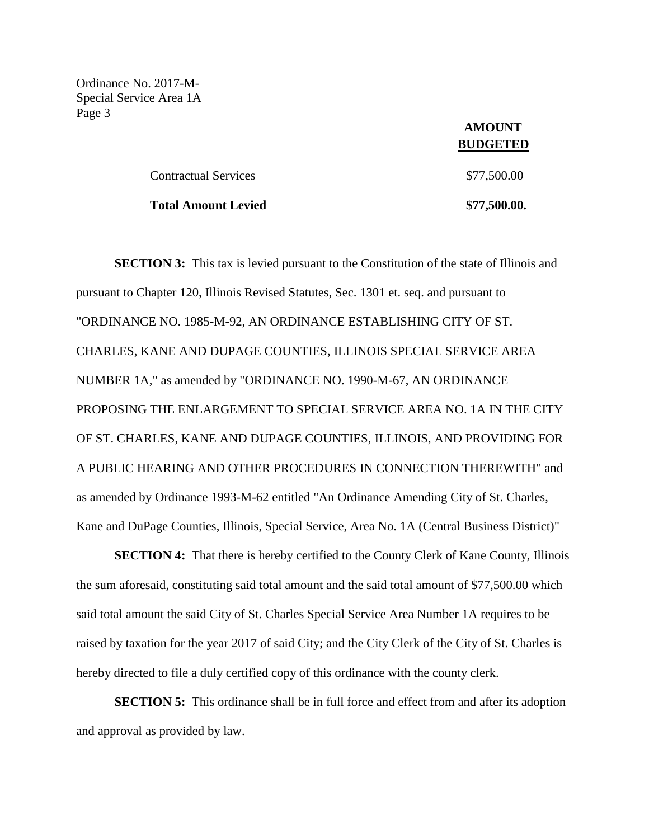Ordinance No. 2017-M-Special Service Area 1A Page 3

| Contractual Services       | \$77,500.00  |
|----------------------------|--------------|
| <b>Total Amount Levied</b> | \$77,500.00. |

 **AMOUNT BUDGETED**

**SECTION 3:** This tax is levied pursuant to the Constitution of the state of Illinois and pursuant to Chapter 120, Illinois Revised Statutes, Sec. 1301 et. seq. and pursuant to "ORDINANCE NO. 1985-M-92, AN ORDINANCE ESTABLISHING CITY OF ST. CHARLES, KANE AND DUPAGE COUNTIES, ILLINOIS SPECIAL SERVICE AREA NUMBER 1A," as amended by "ORDINANCE NO. 1990-M-67, AN ORDINANCE PROPOSING THE ENLARGEMENT TO SPECIAL SERVICE AREA NO. 1A IN THE CITY OF ST. CHARLES, KANE AND DUPAGE COUNTIES, ILLINOIS, AND PROVIDING FOR A PUBLIC HEARING AND OTHER PROCEDURES IN CONNECTION THEREWITH" and as amended by Ordinance 1993-M-62 entitled "An Ordinance Amending City of St. Charles, Kane and DuPage Counties, Illinois, Special Service, Area No. 1A (Central Business District)"

**SECTION 4:** That there is hereby certified to the County Clerk of Kane County, Illinois the sum aforesaid, constituting said total amount and the said total amount of \$77,500.00 which said total amount the said City of St. Charles Special Service Area Number 1A requires to be raised by taxation for the year 2017 of said City; and the City Clerk of the City of St. Charles is hereby directed to file a duly certified copy of this ordinance with the county clerk.

**SECTION 5:** This ordinance shall be in full force and effect from and after its adoption and approval as provided by law.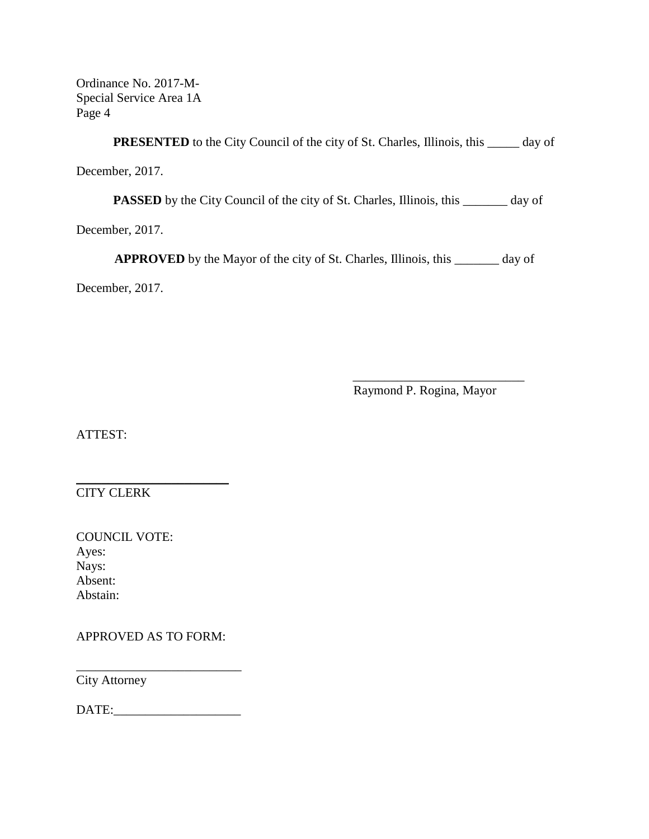Ordinance No. 2017-M-Special Service Area 1A Page 4

**PRESENTED** to the City Council of the city of St. Charles, Illinois, this \_\_\_\_\_ day of December, 2017.

PASSED by the City Council of the city of St. Charles, Illinois, this \_\_\_\_\_\_\_ day of

December, 2017.

**APPROVED** by the Mayor of the city of St. Charles, Illinois, this \_\_\_\_\_\_\_ day of

December, 2017.

 \_\_\_\_\_\_\_\_\_\_\_\_\_\_\_\_\_\_\_\_\_\_\_\_\_\_\_ Raymond P. Rogina, Mayor

ATTEST:

CITY CLERK

| <b>COUNCIL VOTE:</b> |
|----------------------|
| Ayes:                |
| Nays:                |
| Absent:              |
| Abstain:             |

APPROVED AS TO FORM:

\_\_\_\_\_\_\_\_\_\_\_\_\_\_\_\_\_\_\_\_\_\_\_\_

City Attorney

DATE:\_\_\_\_\_\_\_\_\_\_\_\_\_\_\_\_\_\_\_\_

 $\overline{\phantom{a}}$  , where  $\overline{\phantom{a}}$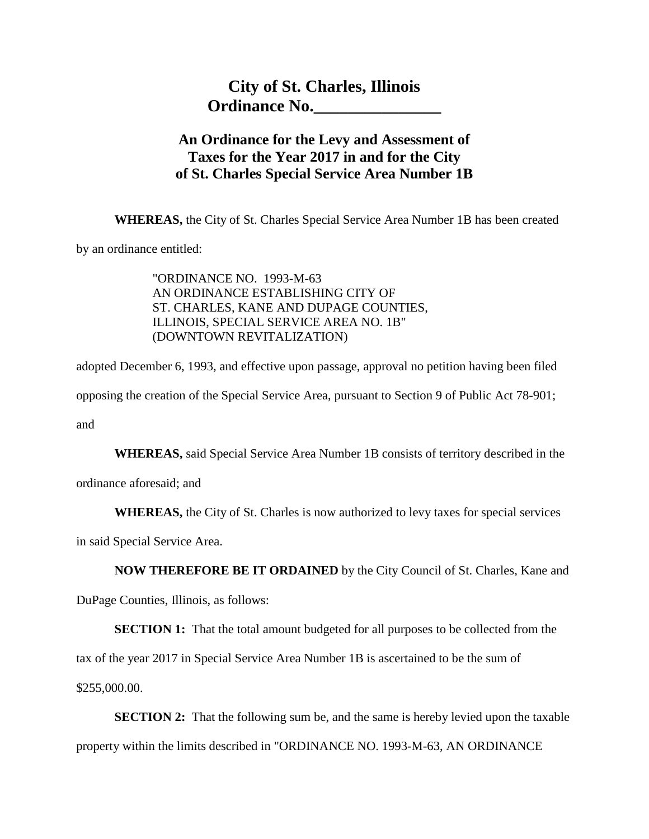## **An Ordinance for the Levy and Assessment of Taxes for the Year 2017 in and for the City of St. Charles Special Service Area Number 1B**

**WHEREAS,** the City of St. Charles Special Service Area Number 1B has been created

by an ordinance entitled:

"ORDINANCE NO. 1993-M-63 AN ORDINANCE ESTABLISHING CITY OF ST. CHARLES, KANE AND DUPAGE COUNTIES, ILLINOIS, SPECIAL SERVICE AREA NO. 1B" (DOWNTOWN REVITALIZATION)

adopted December 6, 1993, and effective upon passage, approval no petition having been filed opposing the creation of the Special Service Area, pursuant to Section 9 of Public Act 78-901; and

**WHEREAS,** said Special Service Area Number 1B consists of territory described in the

ordinance aforesaid; and

**WHEREAS,** the City of St. Charles is now authorized to levy taxes for special services

in said Special Service Area.

**NOW THEREFORE BE IT ORDAINED** by the City Council of St. Charles, Kane and

DuPage Counties, Illinois, as follows:

**SECTION 1:** That the total amount budgeted for all purposes to be collected from the

tax of the year 2017 in Special Service Area Number 1B is ascertained to be the sum of

\$255,000.00.

**SECTION 2:** That the following sum be, and the same is hereby levied upon the taxable property within the limits described in "ORDINANCE NO. 1993-M-63, AN ORDINANCE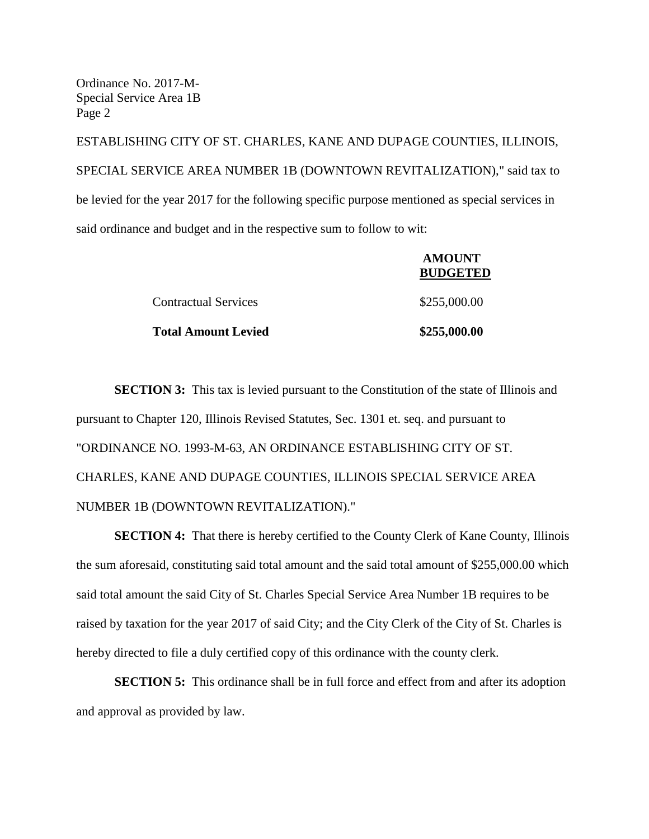Ordinance No. 2017-M-Special Service Area 1B Page 2

ESTABLISHING CITY OF ST. CHARLES, KANE AND DUPAGE COUNTIES, ILLINOIS, SPECIAL SERVICE AREA NUMBER 1B (DOWNTOWN REVITALIZATION)," said tax to be levied for the year 2017 for the following specific purpose mentioned as special services in said ordinance and budget and in the respective sum to follow to wit:

|                             | AMOUNT<br><b>BUDGETED</b> |
|-----------------------------|---------------------------|
| <b>Contractual Services</b> | \$255,000.00              |
| <b>Total Amount Levied</b>  | \$255,000.00              |

**AMOUNT** 

**SECTION 3:** This tax is levied pursuant to the Constitution of the state of Illinois and pursuant to Chapter 120, Illinois Revised Statutes, Sec. 1301 et. seq. and pursuant to "ORDINANCE NO. 1993-M-63, AN ORDINANCE ESTABLISHING CITY OF ST. CHARLES, KANE AND DUPAGE COUNTIES, ILLINOIS SPECIAL SERVICE AREA NUMBER 1B (DOWNTOWN REVITALIZATION)."

**SECTION 4:** That there is hereby certified to the County Clerk of Kane County, Illinois the sum aforesaid, constituting said total amount and the said total amount of \$255,000.00 which said total amount the said City of St. Charles Special Service Area Number 1B requires to be raised by taxation for the year 2017 of said City; and the City Clerk of the City of St. Charles is hereby directed to file a duly certified copy of this ordinance with the county clerk.

**SECTION 5:** This ordinance shall be in full force and effect from and after its adoption and approval as provided by law.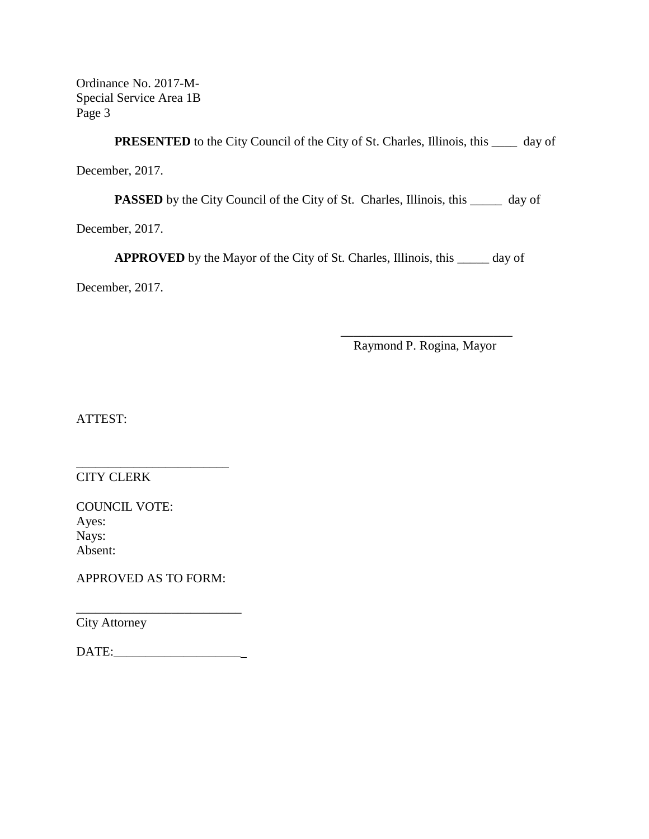Ordinance No. 2017-M-Special Service Area 1B Page 3

**PRESENTED** to the City Council of the City of St. Charles, Illinois, this \_\_\_\_\_ day of

December, 2017.

**PASSED** by the City Council of the City of St. Charles, Illinois, this \_\_\_\_\_\_ day of

December, 2017.

**APPROVED** by the Mayor of the City of St. Charles, Illinois, this \_\_\_\_\_ day of

December, 2017.

\_\_\_\_\_\_\_\_\_\_\_\_\_\_\_\_\_\_\_\_\_\_\_\_\_\_\_ Raymond P. Rogina, Mayor

ATTEST:

CITY CLERK

COUNCIL VOTE: Ayes: Nays: Absent:

APPROVED AS TO FORM:

\_\_\_\_\_\_\_\_\_\_\_\_\_\_\_\_\_\_\_\_\_\_\_\_\_\_

\_\_\_\_\_\_\_\_\_\_\_\_\_\_\_\_\_\_\_\_\_\_\_\_

City Attorney

DATE:\_\_\_\_\_\_\_\_\_\_\_\_\_\_\_\_\_\_\_\_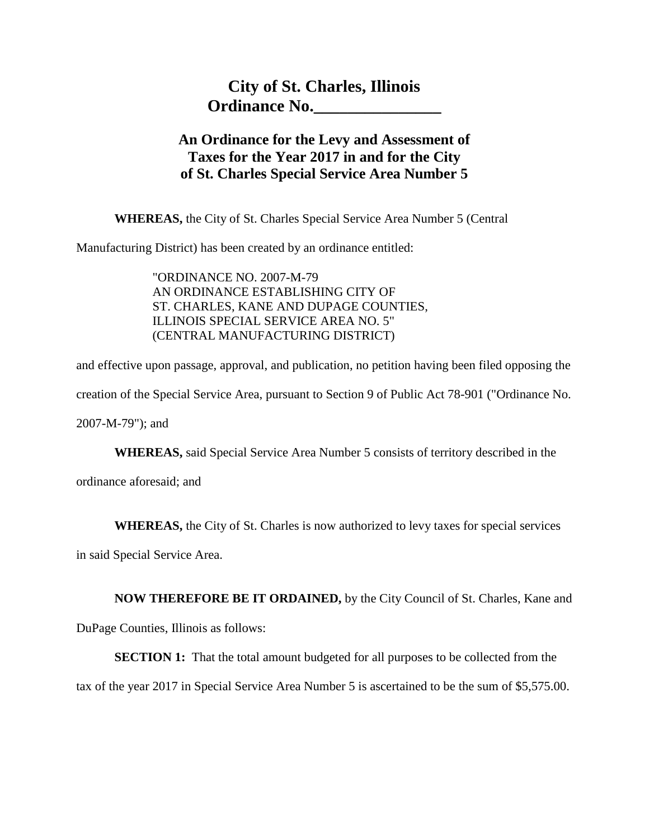## **An Ordinance for the Levy and Assessment of Taxes for the Year 2017 in and for the City of St. Charles Special Service Area Number 5**

**WHEREAS,** the City of St. Charles Special Service Area Number 5 (Central

Manufacturing District) has been created by an ordinance entitled:

"ORDINANCE NO. 2007-M-79 AN ORDINANCE ESTABLISHING CITY OF ST. CHARLES, KANE AND DUPAGE COUNTIES, ILLINOIS SPECIAL SERVICE AREA NO. 5" (CENTRAL MANUFACTURING DISTRICT)

and effective upon passage, approval, and publication, no petition having been filed opposing the creation of the Special Service Area, pursuant to Section 9 of Public Act 78-901 ("Ordinance No.

2007-M-79"); and

**WHEREAS,** said Special Service Area Number 5 consists of territory described in the

ordinance aforesaid; and

**WHEREAS,** the City of St. Charles is now authorized to levy taxes for special services

in said Special Service Area.

**NOW THEREFORE BE IT ORDAINED,** by the City Council of St. Charles, Kane and

DuPage Counties, Illinois as follows:

**SECTION 1:** That the total amount budgeted for all purposes to be collected from the

tax of the year 2017 in Special Service Area Number 5 is ascertained to be the sum of \$5,575.00.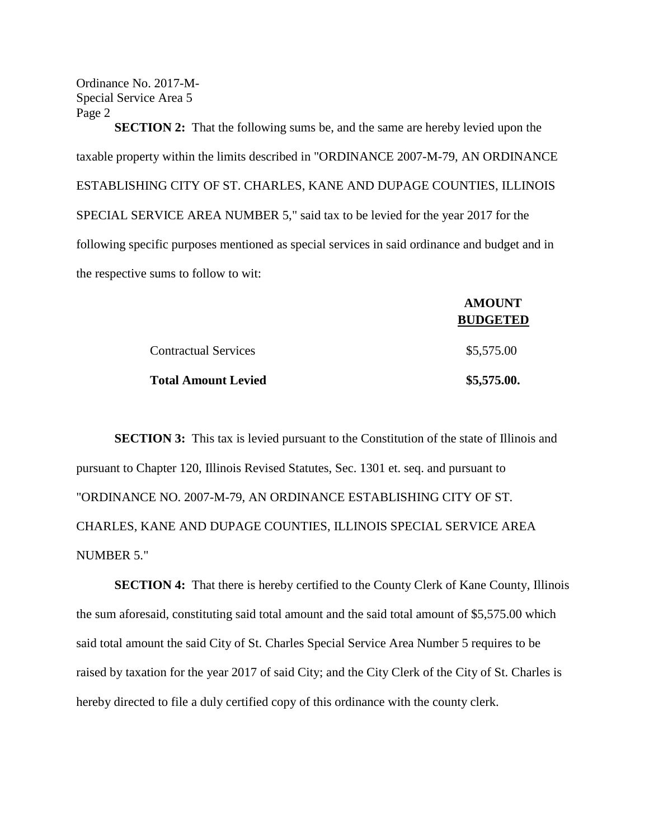Ordinance No. 2017-M-Special Service Area 5 Page 2

**SECTION 2:** That the following sums be, and the same are hereby levied upon the taxable property within the limits described in "ORDINANCE 2007-M-79, AN ORDINANCE ESTABLISHING CITY OF ST. CHARLES, KANE AND DUPAGE COUNTIES, ILLINOIS SPECIAL SERVICE AREA NUMBER 5," said tax to be levied for the year 2017 for the following specific purposes mentioned as special services in said ordinance and budget and in the respective sums to follow to wit:

|                             | <b>AMOUNT</b><br><b>BUDGETED</b> |
|-----------------------------|----------------------------------|
| <b>Contractual Services</b> | \$5,575.00                       |
| <b>Total Amount Levied</b>  | \$5,575.00.                      |

**SECTION 3:** This tax is levied pursuant to the Constitution of the state of Illinois and pursuant to Chapter 120, Illinois Revised Statutes, Sec. 1301 et. seq. and pursuant to "ORDINANCE NO. 2007-M-79, AN ORDINANCE ESTABLISHING CITY OF ST. CHARLES, KANE AND DUPAGE COUNTIES, ILLINOIS SPECIAL SERVICE AREA NUMBER 5."

**SECTION 4:** That there is hereby certified to the County Clerk of Kane County, Illinois the sum aforesaid, constituting said total amount and the said total amount of \$5,575.00 which said total amount the said City of St. Charles Special Service Area Number 5 requires to be raised by taxation for the year 2017 of said City; and the City Clerk of the City of St. Charles is hereby directed to file a duly certified copy of this ordinance with the county clerk.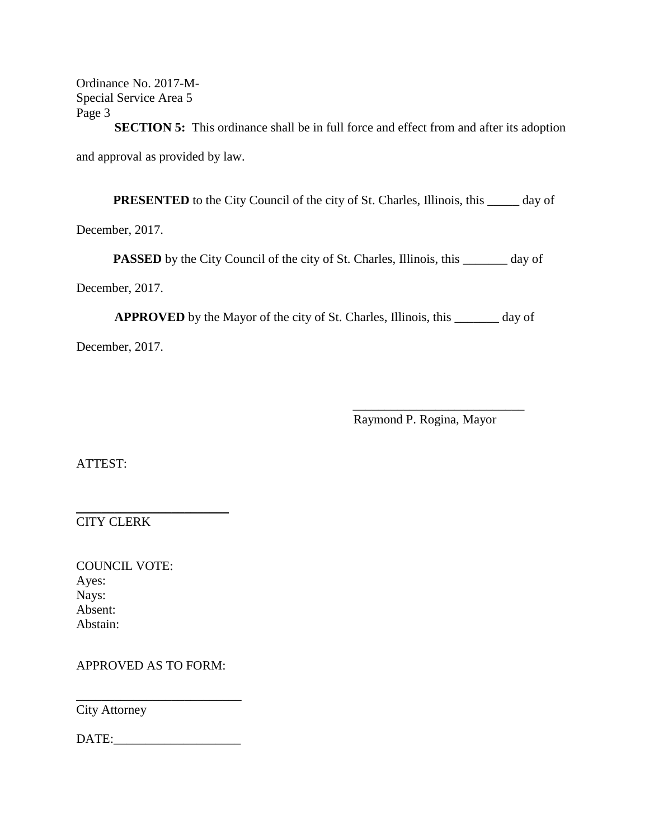Ordinance No. 2017-M-Special Service Area 5 Page 3

**SECTION 5:** This ordinance shall be in full force and effect from and after its adoption and approval as provided by law.

**PRESENTED** to the City Council of the city of St. Charles, Illinois, this \_\_\_\_\_ day of

December, 2017.

**PASSED** by the City Council of the city of St. Charles, Illinois, this \_\_\_\_\_\_\_ day of

December, 2017.

**APPROVED** by the Mayor of the city of St. Charles, Illinois, this \_\_\_\_\_\_\_ day of

December, 2017.

Raymond P. Rogina, Mayor

\_\_\_\_\_\_\_\_\_\_\_\_\_\_\_\_\_\_\_\_\_\_\_\_\_\_\_

ATTEST:

 $\overline{\phantom{a}}$  , where  $\overline{\phantom{a}}$  , where  $\overline{\phantom{a}}$  , where  $\overline{\phantom{a}}$  , where  $\overline{\phantom{a}}$ CITY CLERK

COUNCIL VOTE: Ayes: Nays: Absent: Abstain:

APPROVED AS TO FORM:

City Attorney

DATE:\_\_\_\_\_\_\_\_\_\_\_\_\_\_\_\_\_\_\_\_

\_\_\_\_\_\_\_\_\_\_\_\_\_\_\_\_\_\_\_\_\_\_\_\_\_\_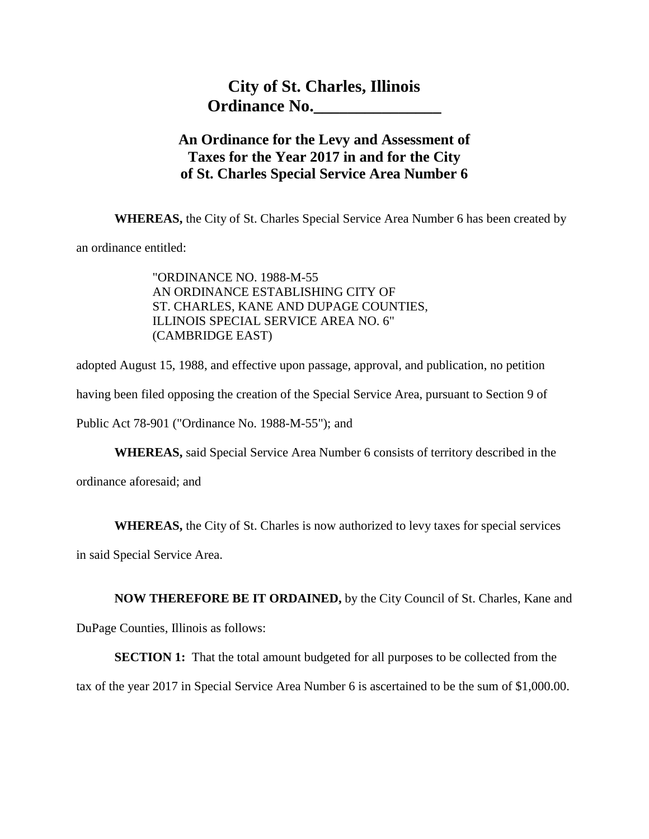## **An Ordinance for the Levy and Assessment of Taxes for the Year 2017 in and for the City of St. Charles Special Service Area Number 6**

**WHEREAS,** the City of St. Charles Special Service Area Number 6 has been created by

an ordinance entitled:

"ORDINANCE NO. 1988-M-55 AN ORDINANCE ESTABLISHING CITY OF ST. CHARLES, KANE AND DUPAGE COUNTIES, ILLINOIS SPECIAL SERVICE AREA NO. 6" (CAMBRIDGE EAST)

adopted August 15, 1988, and effective upon passage, approval, and publication, no petition

having been filed opposing the creation of the Special Service Area, pursuant to Section 9 of

Public Act 78-901 ("Ordinance No. 1988-M-55"); and

**WHEREAS,** said Special Service Area Number 6 consists of territory described in the

ordinance aforesaid; and

**WHEREAS,** the City of St. Charles is now authorized to levy taxes for special services

in said Special Service Area.

**NOW THEREFORE BE IT ORDAINED,** by the City Council of St. Charles, Kane and

DuPage Counties, Illinois as follows:

**SECTION 1:** That the total amount budgeted for all purposes to be collected from the

tax of the year 2017 in Special Service Area Number 6 is ascertained to be the sum of \$1,000.00.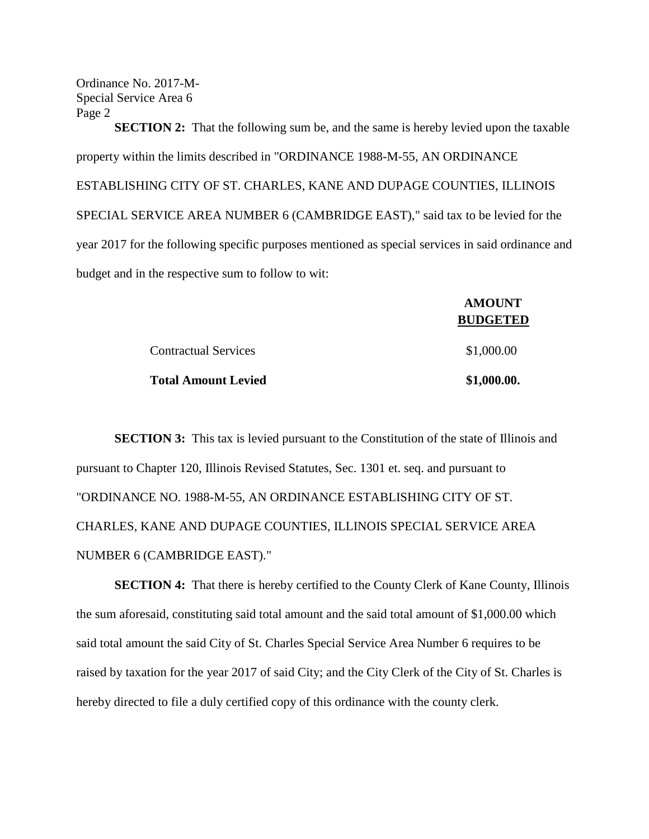Ordinance No. 2017-M-Special Service Area 6 Page 2

**SECTION 2:** That the following sum be, and the same is hereby levied upon the taxable property within the limits described in "ORDINANCE 1988-M-55, AN ORDINANCE ESTABLISHING CITY OF ST. CHARLES, KANE AND DUPAGE COUNTIES, ILLINOIS SPECIAL SERVICE AREA NUMBER 6 (CAMBRIDGE EAST)," said tax to be levied for the year 2017 for the following specific purposes mentioned as special services in said ordinance and budget and in the respective sum to follow to wit:

|                             | <b>AMOUNT</b><br><b>BUDGETED</b> |
|-----------------------------|----------------------------------|
| <b>Contractual Services</b> | \$1,000.00                       |
| <b>Total Amount Levied</b>  | \$1,000.00.                      |

**SECTION 3:** This tax is levied pursuant to the Constitution of the state of Illinois and pursuant to Chapter 120, Illinois Revised Statutes, Sec. 1301 et. seq. and pursuant to "ORDINANCE NO. 1988-M-55, AN ORDINANCE ESTABLISHING CITY OF ST. CHARLES, KANE AND DUPAGE COUNTIES, ILLINOIS SPECIAL SERVICE AREA NUMBER 6 (CAMBRIDGE EAST)."

**SECTION 4:** That there is hereby certified to the County Clerk of Kane County, Illinois the sum aforesaid, constituting said total amount and the said total amount of \$1,000.00 which said total amount the said City of St. Charles Special Service Area Number 6 requires to be raised by taxation for the year 2017 of said City; and the City Clerk of the City of St. Charles is hereby directed to file a duly certified copy of this ordinance with the county clerk.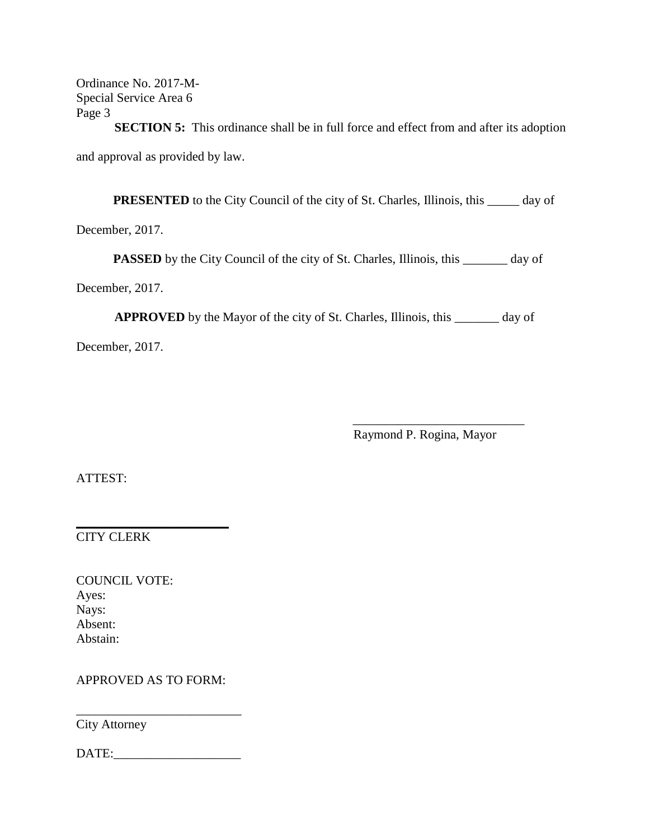Ordinance No. 2017-M-Special Service Area 6 Page 3

**SECTION 5:** This ordinance shall be in full force and effect from and after its adoption and approval as provided by law.

**PRESENTED** to the City Council of the city of St. Charles, Illinois, this \_\_\_\_\_ day of

December, 2017.

**PASSED** by the City Council of the city of St. Charles, Illinois, this \_\_\_\_\_\_\_ day of

December, 2017.

**APPROVED** by the Mayor of the city of St. Charles, Illinois, this \_\_\_\_\_\_\_ day of

December, 2017.

Raymond P. Rogina, Mayor

\_\_\_\_\_\_\_\_\_\_\_\_\_\_\_\_\_\_\_\_\_\_\_\_\_\_\_

ATTEST:

CITY CLERK

COUNCIL VOTE: Ayes: Nays: Absent: Abstain:

APPROVED AS TO FORM:

 $\overline{\phantom{a}}$  , where  $\overline{\phantom{a}}$  , where  $\overline{\phantom{a}}$  , where  $\overline{\phantom{a}}$  , where  $\overline{\phantom{a}}$ 

City Attorney

DATE:\_\_\_\_\_\_\_\_\_\_\_\_\_\_\_\_\_\_\_\_

\_\_\_\_\_\_\_\_\_\_\_\_\_\_\_\_\_\_\_\_\_\_\_\_\_\_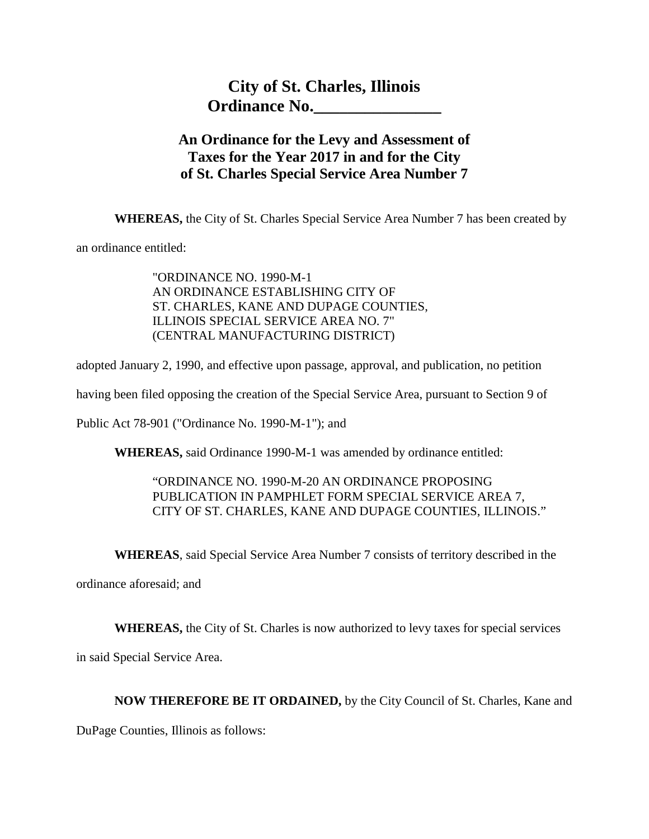## **An Ordinance for the Levy and Assessment of Taxes for the Year 2017 in and for the City of St. Charles Special Service Area Number 7**

**WHEREAS,** the City of St. Charles Special Service Area Number 7 has been created by

an ordinance entitled:

"ORDINANCE NO. 1990-M-1 AN ORDINANCE ESTABLISHING CITY OF ST. CHARLES, KANE AND DUPAGE COUNTIES, ILLINOIS SPECIAL SERVICE AREA NO. 7" (CENTRAL MANUFACTURING DISTRICT)

adopted January 2, 1990, and effective upon passage, approval, and publication, no petition

having been filed opposing the creation of the Special Service Area, pursuant to Section 9 of

Public Act 78-901 ("Ordinance No. 1990-M-1"); and

**WHEREAS,** said Ordinance 1990-M-1 was amended by ordinance entitled:

#### "ORDINANCE NO. 1990-M-20 AN ORDINANCE PROPOSING PUBLICATION IN PAMPHLET FORM SPECIAL SERVICE AREA 7, CITY OF ST. CHARLES, KANE AND DUPAGE COUNTIES, ILLINOIS."

**WHEREAS**, said Special Service Area Number 7 consists of territory described in the

ordinance aforesaid; and

**WHEREAS,** the City of St. Charles is now authorized to levy taxes for special services

in said Special Service Area.

#### **NOW THEREFORE BE IT ORDAINED,** by the City Council of St. Charles, Kane and

DuPage Counties, Illinois as follows: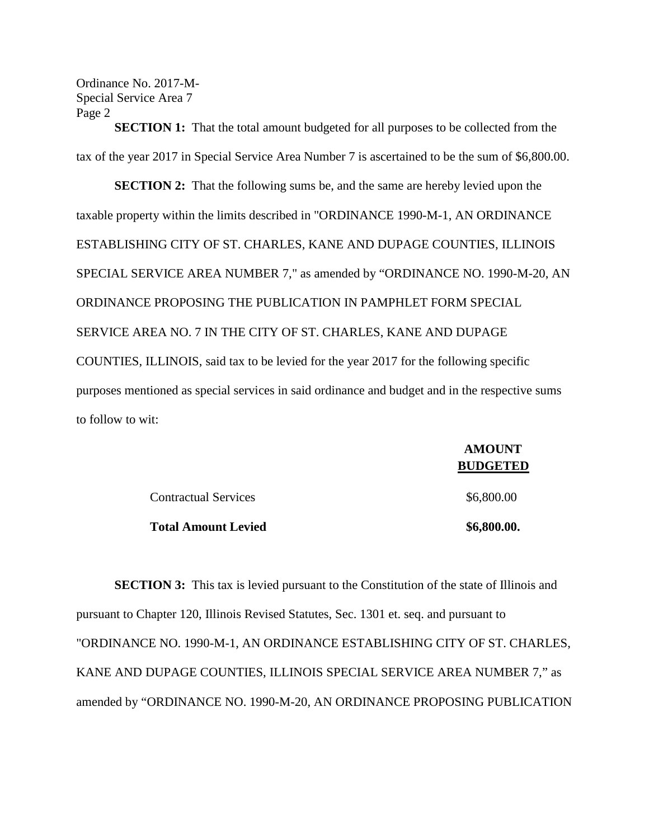Ordinance No. 2017-M-Special Service Area 7 Page 2

**SECTION 1:** That the total amount budgeted for all purposes to be collected from the tax of the year 2017 in Special Service Area Number 7 is ascertained to be the sum of \$6,800.00.

**SECTION 2:** That the following sums be, and the same are hereby levied upon the taxable property within the limits described in "ORDINANCE 1990-M-1, AN ORDINANCE ESTABLISHING CITY OF ST. CHARLES, KANE AND DUPAGE COUNTIES, ILLINOIS SPECIAL SERVICE AREA NUMBER 7," as amended by "ORDINANCE NO. 1990-M-20, AN ORDINANCE PROPOSING THE PUBLICATION IN PAMPHLET FORM SPECIAL SERVICE AREA NO. 7 IN THE CITY OF ST. CHARLES, KANE AND DUPAGE COUNTIES, ILLINOIS, said tax to be levied for the year 2017 for the following specific purposes mentioned as special services in said ordinance and budget and in the respective sums to follow to wit:

|                             | <b>AMOUNT</b><br><b>BUDGETED</b> |
|-----------------------------|----------------------------------|
| <b>Contractual Services</b> | \$6,800.00                       |
| <b>Total Amount Levied</b>  | \$6,800.00.                      |

**SECTION 3:** This tax is levied pursuant to the Constitution of the state of Illinois and pursuant to Chapter 120, Illinois Revised Statutes, Sec. 1301 et. seq. and pursuant to "ORDINANCE NO. 1990-M-1, AN ORDINANCE ESTABLISHING CITY OF ST. CHARLES, KANE AND DUPAGE COUNTIES, ILLINOIS SPECIAL SERVICE AREA NUMBER 7," as amended by "ORDINANCE NO. 1990-M-20, AN ORDINANCE PROPOSING PUBLICATION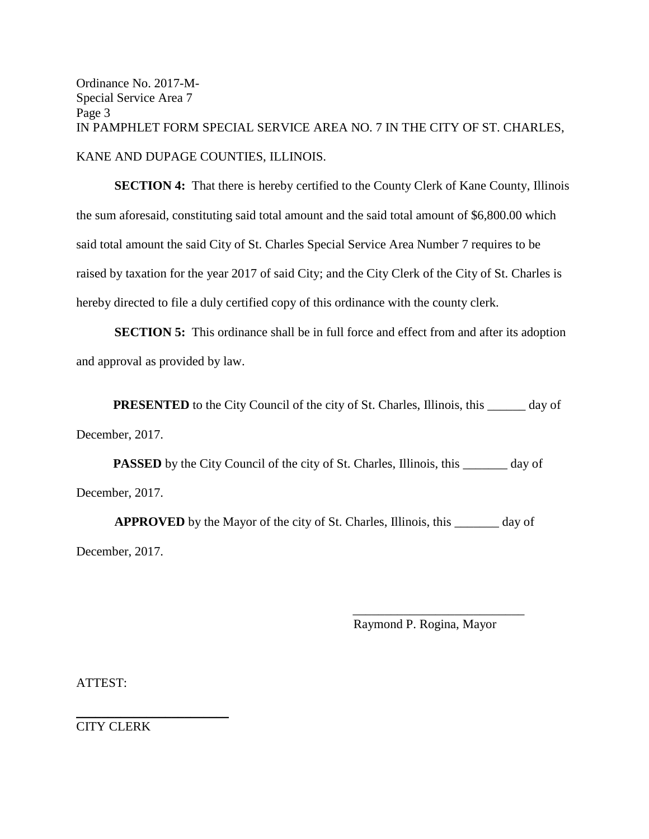Ordinance No. 2017-M-Special Service Area 7 Page 3 IN PAMPHLET FORM SPECIAL SERVICE AREA NO. 7 IN THE CITY OF ST. CHARLES, KANE AND DUPAGE COUNTIES, ILLINOIS.

**SECTION 4:** That there is hereby certified to the County Clerk of Kane County, Illinois the sum aforesaid, constituting said total amount and the said total amount of \$6,800.00 which said total amount the said City of St. Charles Special Service Area Number 7 requires to be raised by taxation for the year 2017 of said City; and the City Clerk of the City of St. Charles is hereby directed to file a duly certified copy of this ordinance with the county clerk.

**SECTION 5:** This ordinance shall be in full force and effect from and after its adoption and approval as provided by law.

**PRESENTED** to the City Council of the city of St. Charles, Illinois, this \_\_\_\_\_\_ day of December, 2017.

**PASSED** by the City Council of the city of St. Charles, Illinois, this \_\_\_\_\_\_ day of December, 2017.

**APPROVED** by the Mayor of the city of St. Charles, Illinois, this \_\_\_\_\_\_\_ day of December, 2017.

Raymond P. Rogina, Mayor

\_\_\_\_\_\_\_\_\_\_\_\_\_\_\_\_\_\_\_\_\_\_\_\_\_\_\_

ATTEST:

CITY CLERK

\_\_\_\_\_\_\_\_\_\_\_\_\_\_\_\_\_\_\_\_\_\_\_\_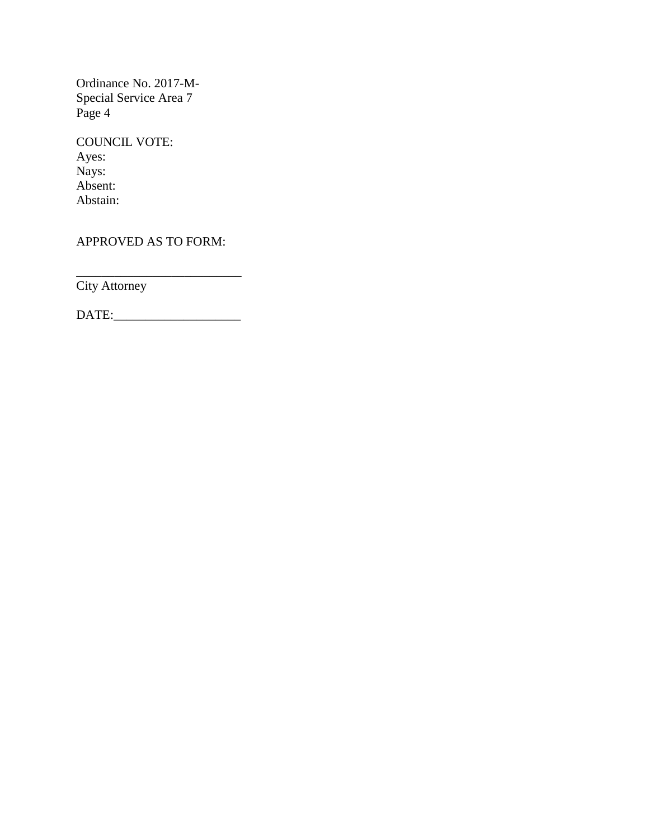Ordinance No. 2017-M-Special Service Area 7 Page 4

COUNCIL VOTE: Ayes: Nays: Absent: Abstain:

APPROVED AS TO FORM:

\_\_\_\_\_\_\_\_\_\_\_\_\_\_\_\_\_\_\_\_\_\_\_\_\_\_ City Attorney

DATE:\_\_\_\_\_\_\_\_\_\_\_\_\_\_\_\_\_\_\_\_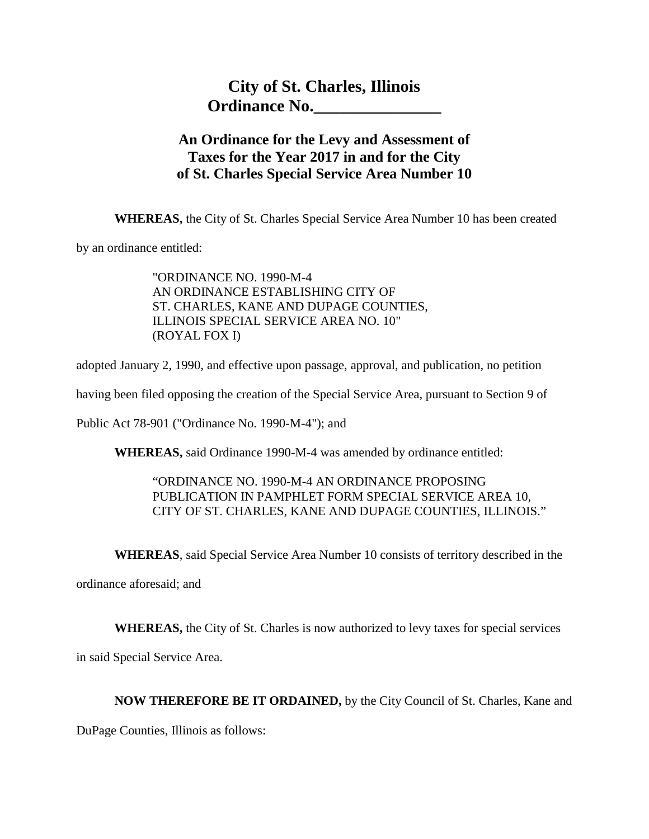# **City of St. Charles, Illinois Ordinance No.\_\_\_\_\_\_\_\_\_\_\_\_\_\_\_**

## **An Ordinance for the Levy and Assessment of Taxes for the Year 2017 in and for the City of St. Charles Special Service Area Number 10**

**WHEREAS,** the City of St. Charles Special Service Area Number 10 has been created

by an ordinance entitled:

"ORDINANCE NO. 1990-M-4 AN ORDINANCE ESTABLISHING CITY OF ST. CHARLES, KANE AND DUPAGE COUNTIES, ILLINOIS SPECIAL SERVICE AREA NO. 10" (ROYAL FOX I)

adopted January 2, 1990, and effective upon passage, approval, and publication, no petition

having been filed opposing the creation of the Special Service Area, pursuant to Section 9 of

Public Act 78-901 ("Ordinance No. 1990-M-4"); and

**WHEREAS,** said Ordinance 1990-M-4 was amended by ordinance entitled:

#### "ORDINANCE NO. 1990-M-4 AN ORDINANCE PROPOSING PUBLICATION IN PAMPHLET FORM SPECIAL SERVICE AREA 10, CITY OF ST. CHARLES, KANE AND DUPAGE COUNTIES, ILLINOIS."

**WHEREAS**, said Special Service Area Number 10 consists of territory described in the

ordinance aforesaid; and

**WHEREAS,** the City of St. Charles is now authorized to levy taxes for special services

in said Special Service Area.

#### **NOW THEREFORE BE IT ORDAINED,** by the City Council of St. Charles, Kane and

DuPage Counties, Illinois as follows: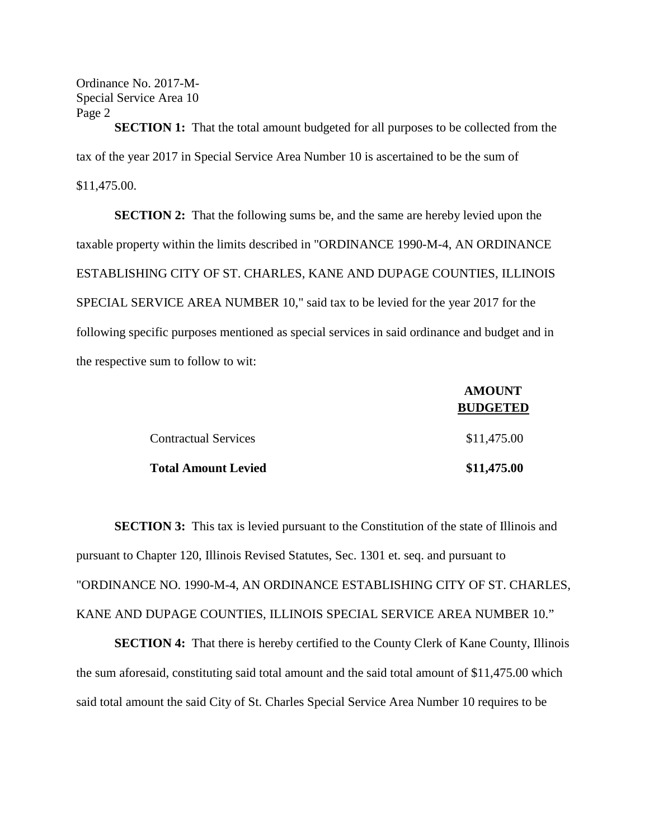Ordinance No. 2017-M-Special Service Area 10 Page 2

**SECTION 1:** That the total amount budgeted for all purposes to be collected from the tax of the year 2017 in Special Service Area Number 10 is ascertained to be the sum of \$11,475.00.

**SECTION 2:** That the following sums be, and the same are hereby levied upon the taxable property within the limits described in "ORDINANCE 1990-M-4, AN ORDINANCE ESTABLISHING CITY OF ST. CHARLES, KANE AND DUPAGE COUNTIES, ILLINOIS SPECIAL SERVICE AREA NUMBER 10," said tax to be levied for the year 2017 for the following specific purposes mentioned as special services in said ordinance and budget and in the respective sum to follow to wit:

|                             | <b>AMOUNT</b>   |  |
|-----------------------------|-----------------|--|
|                             | <b>BUDGETED</b> |  |
| <b>Contractual Services</b> | \$11,475.00     |  |
| <b>Total Amount Levied</b>  | \$11,475.00     |  |

**SECTION 3:** This tax is levied pursuant to the Constitution of the state of Illinois and pursuant to Chapter 120, Illinois Revised Statutes, Sec. 1301 et. seq. and pursuant to "ORDINANCE NO. 1990-M-4, AN ORDINANCE ESTABLISHING CITY OF ST. CHARLES, KANE AND DUPAGE COUNTIES, ILLINOIS SPECIAL SERVICE AREA NUMBER 10."

**SECTION 4:** That there is hereby certified to the County Clerk of Kane County, Illinois the sum aforesaid, constituting said total amount and the said total amount of \$11,475.00 which said total amount the said City of St. Charles Special Service Area Number 10 requires to be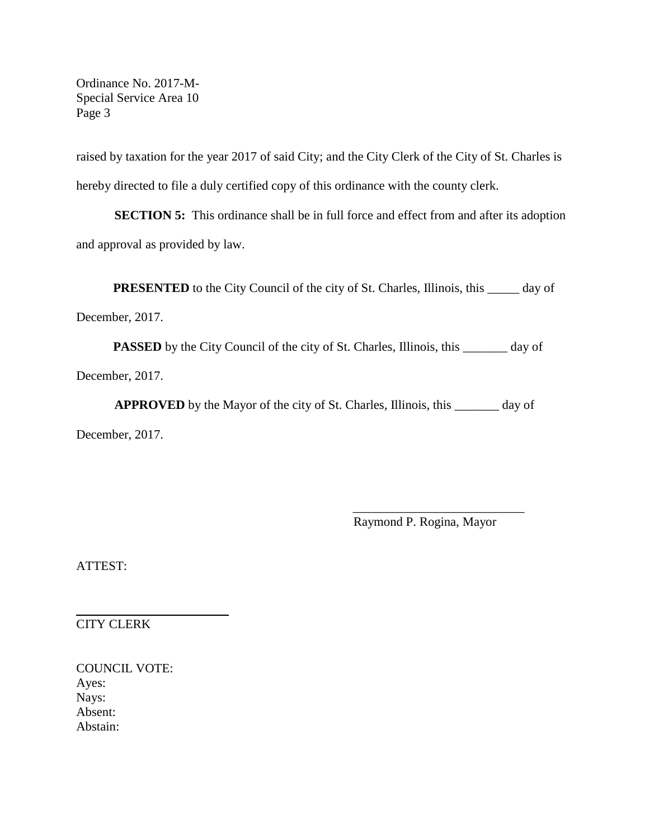Ordinance No. 2017-M-Special Service Area 10 Page 3

raised by taxation for the year 2017 of said City; and the City Clerk of the City of St. Charles is hereby directed to file a duly certified copy of this ordinance with the county clerk.

**SECTION 5:** This ordinance shall be in full force and effect from and after its adoption and approval as provided by law.

**PRESENTED** to the City Council of the city of St. Charles, Illinois, this \_\_\_\_\_ day of

December, 2017.

**PASSED** by the City Council of the city of St. Charles, Illinois, this \_\_\_\_\_\_\_ day of December, 2017.

**APPROVED** by the Mayor of the city of St. Charles, Illinois, this \_\_\_\_\_\_\_ day of December, 2017.

Raymond P. Rogina, Mayor

\_\_\_\_\_\_\_\_\_\_\_\_\_\_\_\_\_\_\_\_\_\_\_\_\_\_\_

ATTEST:

CITY CLERK

 $\overline{\phantom{a}}$  , where  $\overline{\phantom{a}}$  , where  $\overline{\phantom{a}}$  , where  $\overline{\phantom{a}}$  , where  $\overline{\phantom{a}}$ 

COUNCIL VOTE: Ayes: Nays: Absent: Abstain: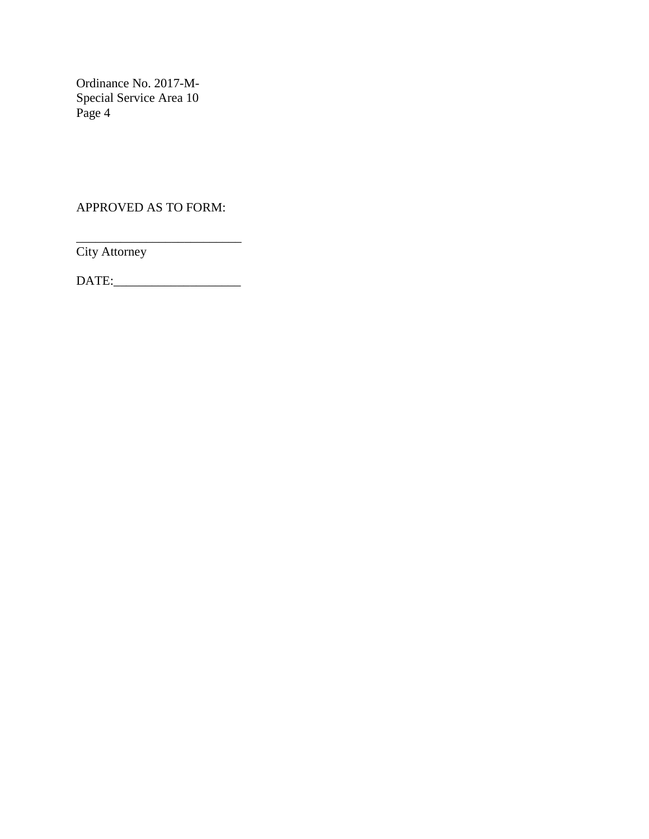Ordinance No. 2017-M-Special Service Area 10 Page 4

APPROVED AS TO FORM:

\_\_\_\_\_\_\_\_\_\_\_\_\_\_\_\_\_\_\_\_\_\_\_\_\_\_ City Attorney

DATE:\_\_\_\_\_\_\_\_\_\_\_\_\_\_\_\_\_\_\_\_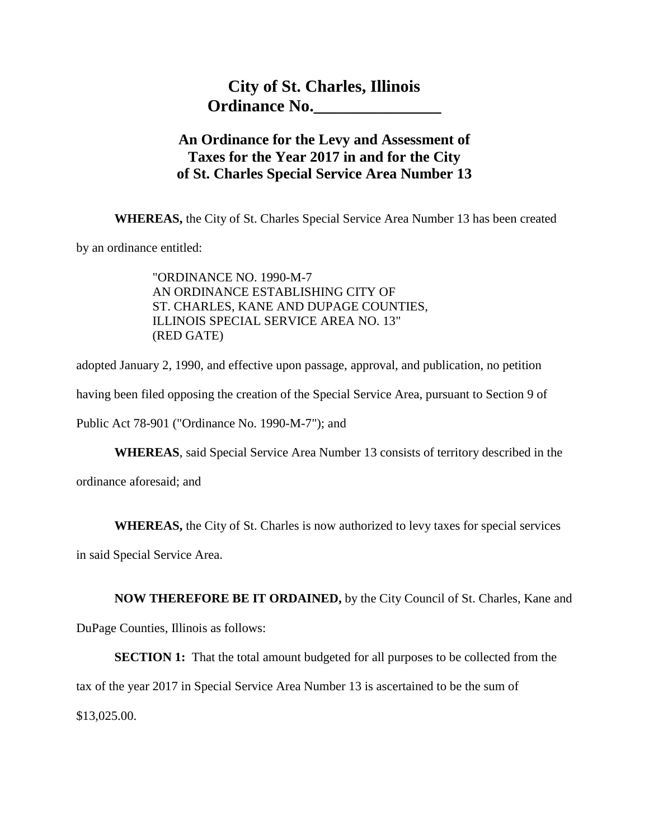## **An Ordinance for the Levy and Assessment of Taxes for the Year 2017 in and for the City of St. Charles Special Service Area Number 13**

**WHEREAS,** the City of St. Charles Special Service Area Number 13 has been created

by an ordinance entitled:

"ORDINANCE NO. 1990-M-7 AN ORDINANCE ESTABLISHING CITY OF ST. CHARLES, KANE AND DUPAGE COUNTIES, ILLINOIS SPECIAL SERVICE AREA NO. 13" (RED GATE)

adopted January 2, 1990, and effective upon passage, approval, and publication, no petition

having been filed opposing the creation of the Special Service Area, pursuant to Section 9 of

Public Act 78-901 ("Ordinance No. 1990-M-7"); and

**WHEREAS**, said Special Service Area Number 13 consists of territory described in the

ordinance aforesaid; and

**WHEREAS,** the City of St. Charles is now authorized to levy taxes for special services

in said Special Service Area.

**NOW THEREFORE BE IT ORDAINED,** by the City Council of St. Charles, Kane and

DuPage Counties, Illinois as follows:

**SECTION 1:** That the total amount budgeted for all purposes to be collected from the

tax of the year 2017 in Special Service Area Number 13 is ascertained to be the sum of

\$13,025.00.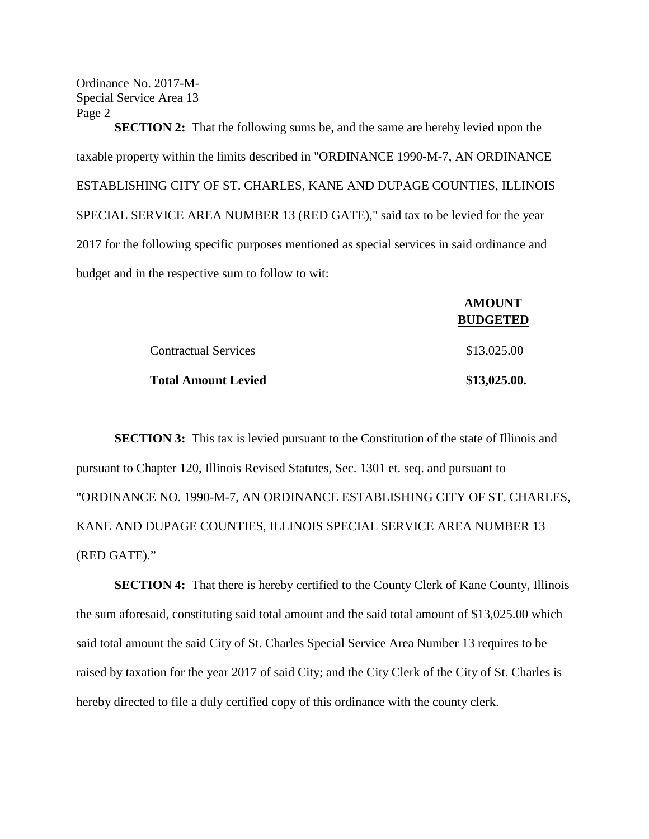Ordinance No. 2017-M-Special Service Area 13 Page 2

**SECTION 2:** That the following sums be, and the same are hereby levied upon the taxable property within the limits described in "ORDINANCE 1990-M-7, AN ORDINANCE ESTABLISHING CITY OF ST. CHARLES, KANE AND DUPAGE COUNTIES, ILLINOIS SPECIAL SERVICE AREA NUMBER 13 (RED GATE)," said tax to be levied for the year 2017 for the following specific purposes mentioned as special services in said ordinance and budget and in the respective sum to follow to wit:

|                             | <b>AMOUNT</b><br><b>BUDGETED</b> |
|-----------------------------|----------------------------------|
|                             |                                  |
| <b>Contractual Services</b> | \$13,025.00                      |
| <b>Total Amount Levied</b>  | \$13,025.00.                     |

**SECTION 3:** This tax is levied pursuant to the Constitution of the state of Illinois and pursuant to Chapter 120, Illinois Revised Statutes, Sec. 1301 et. seq. and pursuant to "ORDINANCE NO. 1990-M-7, AN ORDINANCE ESTABLISHING CITY OF ST. CHARLES, KANE AND DUPAGE COUNTIES, ILLINOIS SPECIAL SERVICE AREA NUMBER 13 (RED GATE)."

**SECTION 4:** That there is hereby certified to the County Clerk of Kane County, Illinois the sum aforesaid, constituting said total amount and the said total amount of \$13,025.00 which said total amount the said City of St. Charles Special Service Area Number 13 requires to be raised by taxation for the year 2017 of said City; and the City Clerk of the City of St. Charles is hereby directed to file a duly certified copy of this ordinance with the county clerk.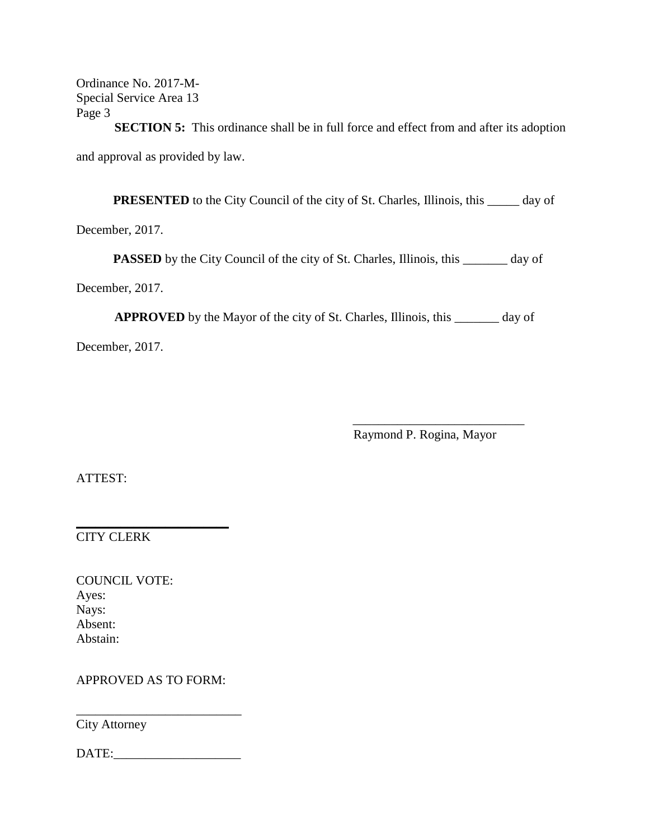Ordinance No. 2017-M-Special Service Area 13 Page 3

**SECTION 5:** This ordinance shall be in full force and effect from and after its adoption and approval as provided by law.

**PRESENTED** to the City Council of the city of St. Charles, Illinois, this \_\_\_\_\_ day of

December, 2017.

**PASSED** by the City Council of the city of St. Charles, Illinois, this \_\_\_\_\_\_\_ day of

December, 2017.

**APPROVED** by the Mayor of the city of St. Charles, Illinois, this \_\_\_\_\_\_\_ day of

December, 2017.

Raymond P. Rogina, Mayor

\_\_\_\_\_\_\_\_\_\_\_\_\_\_\_\_\_\_\_\_\_\_\_\_\_\_\_

ATTEST:

CITY CLERK

COUNCIL VOTE: Ayes: Nays: Absent: Abstain:

APPROVED AS TO FORM:

 $\overline{\phantom{a}}$  , where  $\overline{\phantom{a}}$  , where  $\overline{\phantom{a}}$  , where  $\overline{\phantom{a}}$  , where  $\overline{\phantom{a}}$ 

City Attorney

DATE:\_\_\_\_\_\_\_\_\_\_\_\_\_\_\_\_\_\_\_\_

\_\_\_\_\_\_\_\_\_\_\_\_\_\_\_\_\_\_\_\_\_\_\_\_\_\_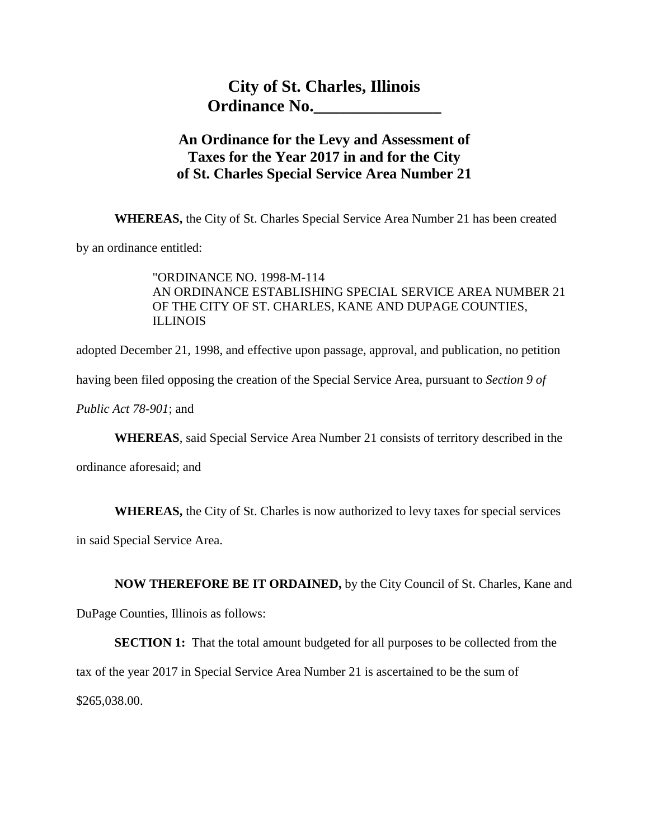## **An Ordinance for the Levy and Assessment of Taxes for the Year 2017 in and for the City of St. Charles Special Service Area Number 21**

**WHEREAS,** the City of St. Charles Special Service Area Number 21 has been created

by an ordinance entitled:

"ORDINANCE NO. 1998-M-114 AN ORDINANCE ESTABLISHING SPECIAL SERVICE AREA NUMBER 21 OF THE CITY OF ST. CHARLES, KANE AND DUPAGE COUNTIES, ILLINOIS

adopted December 21, 1998, and effective upon passage, approval, and publication, no petition

having been filed opposing the creation of the Special Service Area, pursuant to *Section 9 of* 

*Public Act 78-901*; and

**WHEREAS**, said Special Service Area Number 21 consists of territory described in the

ordinance aforesaid; and

**WHEREAS,** the City of St. Charles is now authorized to levy taxes for special services

in said Special Service Area.

**NOW THEREFORE BE IT ORDAINED,** by the City Council of St. Charles, Kane and

DuPage Counties, Illinois as follows:

**SECTION 1:** That the total amount budgeted for all purposes to be collected from the tax of the year 2017 in Special Service Area Number 21 is ascertained to be the sum of \$265,038.00.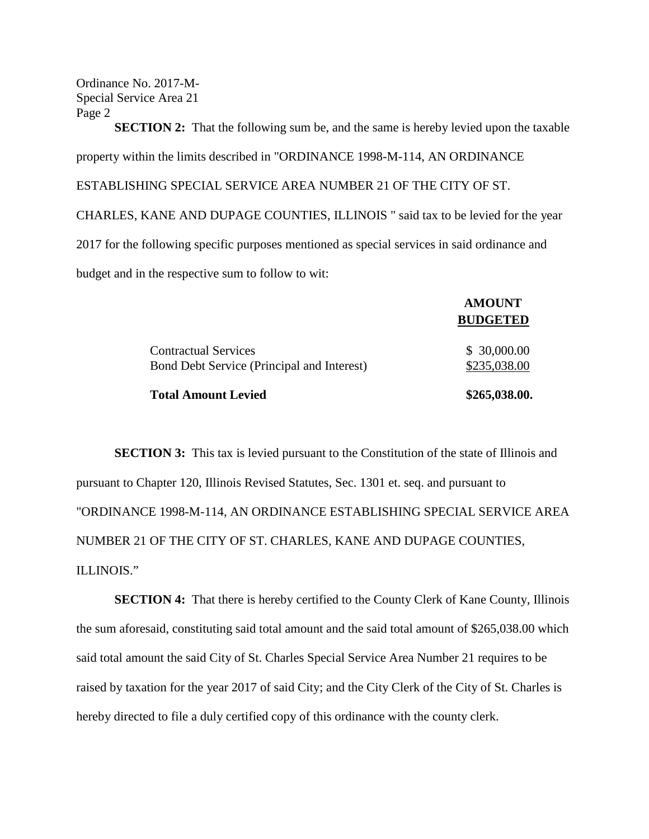Ordinance No. 2017-M-Special Service Area 21 Page 2

**SECTION 2:** That the following sum be, and the same is hereby levied upon the taxable property within the limits described in "ORDINANCE 1998-M-114, AN ORDINANCE ESTABLISHING SPECIAL SERVICE AREA NUMBER 21 OF THE CITY OF ST. CHARLES, KANE AND DUPAGE COUNTIES, ILLINOIS " said tax to be levied for the year 2017 for the following specific purposes mentioned as special services in said ordinance and budget and in the respective sum to follow to wit:

|                                                                           | <b>BUDGETED</b>             |
|---------------------------------------------------------------------------|-----------------------------|
| <b>Contractual Services</b><br>Bond Debt Service (Principal and Interest) | \$30,000.00<br>\$235,038.00 |
| <b>Total Amount Levied</b>                                                | \$265,038.00.               |

**AMOUNT**

**SECTION 3:** This tax is levied pursuant to the Constitution of the state of Illinois and pursuant to Chapter 120, Illinois Revised Statutes, Sec. 1301 et. seq. and pursuant to "ORDINANCE 1998-M-114, AN ORDINANCE ESTABLISHING SPECIAL SERVICE AREA NUMBER 21 OF THE CITY OF ST. CHARLES, KANE AND DUPAGE COUNTIES, ILLINOIS."

**SECTION 4:** That there is hereby certified to the County Clerk of Kane County, Illinois the sum aforesaid, constituting said total amount and the said total amount of \$265,038.00 which said total amount the said City of St. Charles Special Service Area Number 21 requires to be raised by taxation for the year 2017 of said City; and the City Clerk of the City of St. Charles is hereby directed to file a duly certified copy of this ordinance with the county clerk.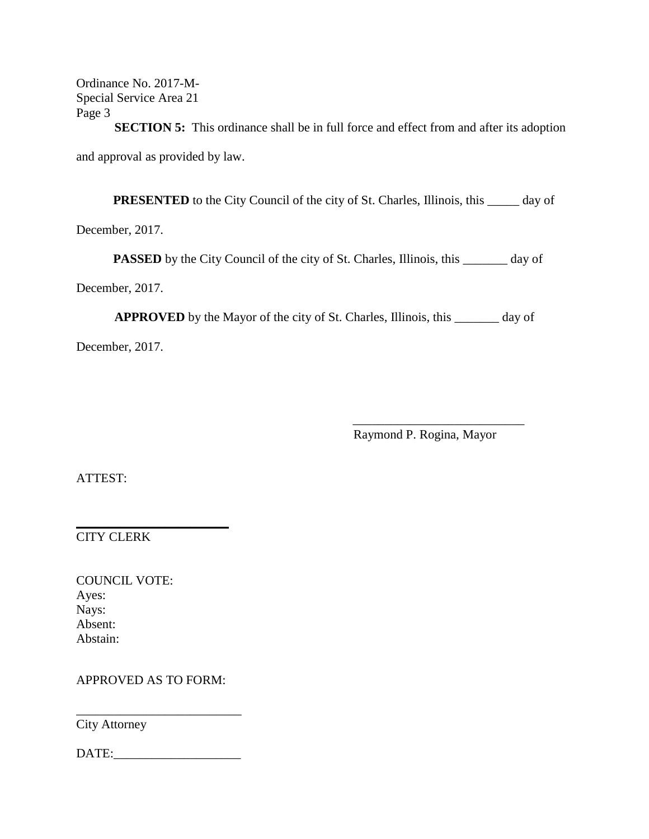Ordinance No. 2017-M-Special Service Area 21 Page 3

**SECTION 5:** This ordinance shall be in full force and effect from and after its adoption and approval as provided by law.

**PRESENTED** to the City Council of the city of St. Charles, Illinois, this \_\_\_\_\_ day of

December, 2017.

**PASSED** by the City Council of the city of St. Charles, Illinois, this \_\_\_\_\_\_\_ day of

December, 2017.

**APPROVED** by the Mayor of the city of St. Charles, Illinois, this \_\_\_\_\_\_\_ day of

December, 2017.

Raymond P. Rogina, Mayor

\_\_\_\_\_\_\_\_\_\_\_\_\_\_\_\_\_\_\_\_\_\_\_\_\_\_\_

ATTEST:

CITY CLERK

COUNCIL VOTE: Ayes: Nays: Absent: Abstain:

APPROVED AS TO FORM:

 $\overline{\phantom{a}}$  , where  $\overline{\phantom{a}}$  , where  $\overline{\phantom{a}}$  , where  $\overline{\phantom{a}}$  , where  $\overline{\phantom{a}}$ 

City Attorney

DATE:\_\_\_\_\_\_\_\_\_\_\_\_\_\_\_\_\_\_\_\_

\_\_\_\_\_\_\_\_\_\_\_\_\_\_\_\_\_\_\_\_\_\_\_\_\_\_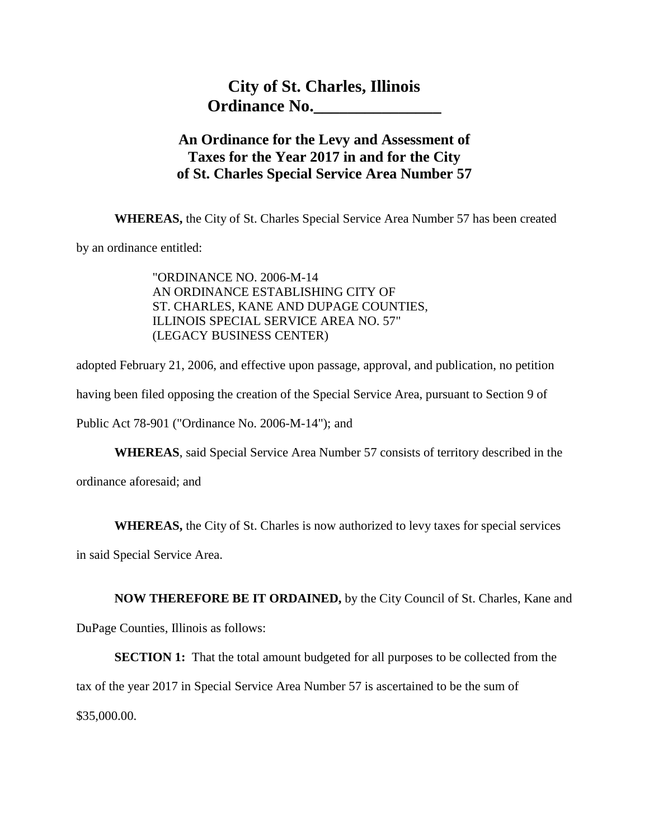## **An Ordinance for the Levy and Assessment of Taxes for the Year 2017 in and for the City of St. Charles Special Service Area Number 57**

**WHEREAS,** the City of St. Charles Special Service Area Number 57 has been created

by an ordinance entitled:

"ORDINANCE NO. 2006-M-14 AN ORDINANCE ESTABLISHING CITY OF ST. CHARLES, KANE AND DUPAGE COUNTIES, ILLINOIS SPECIAL SERVICE AREA NO. 57" (LEGACY BUSINESS CENTER)

adopted February 21, 2006, and effective upon passage, approval, and publication, no petition having been filed opposing the creation of the Special Service Area, pursuant to Section 9 of

Public Act 78-901 ("Ordinance No. 2006-M-14"); and

**WHEREAS**, said Special Service Area Number 57 consists of territory described in the

ordinance aforesaid; and

**WHEREAS,** the City of St. Charles is now authorized to levy taxes for special services

in said Special Service Area.

**NOW THEREFORE BE IT ORDAINED,** by the City Council of St. Charles, Kane and

DuPage Counties, Illinois as follows:

**SECTION 1:** That the total amount budgeted for all purposes to be collected from the

tax of the year 2017 in Special Service Area Number 57 is ascertained to be the sum of

\$35,000.00.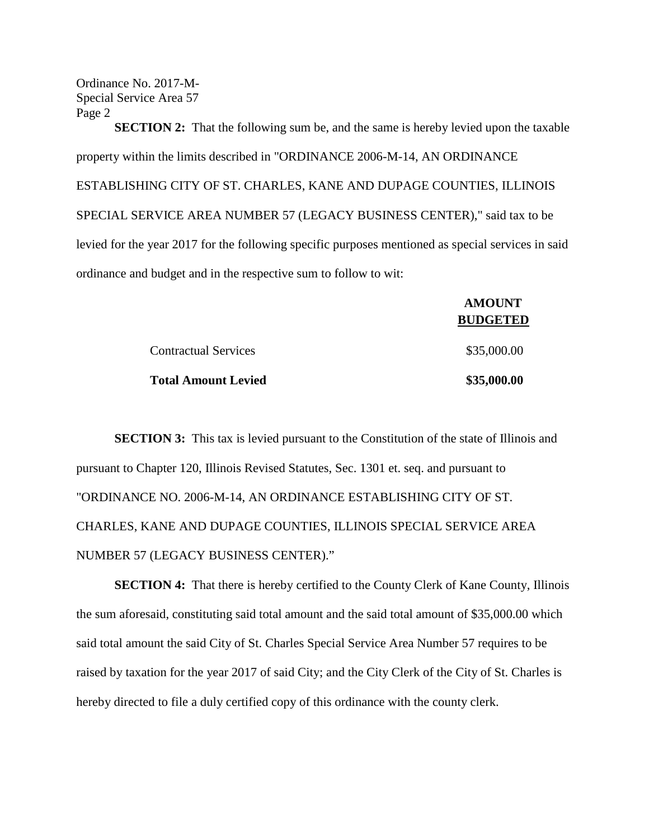Ordinance No. 2017-M-Special Service Area 57 Page 2

**SECTION 2:** That the following sum be, and the same is hereby levied upon the taxable property within the limits described in "ORDINANCE 2006-M-14, AN ORDINANCE ESTABLISHING CITY OF ST. CHARLES, KANE AND DUPAGE COUNTIES, ILLINOIS SPECIAL SERVICE AREA NUMBER 57 (LEGACY BUSINESS CENTER)," said tax to be levied for the year 2017 for the following specific purposes mentioned as special services in said ordinance and budget and in the respective sum to follow to wit:

|                             | <b>AMOUNT</b><br><b>BUDGETED</b> |
|-----------------------------|----------------------------------|
| <b>Contractual Services</b> | \$35,000.00                      |
| <b>Total Amount Levied</b>  | \$35,000.00                      |

**SECTION 3:** This tax is levied pursuant to the Constitution of the state of Illinois and pursuant to Chapter 120, Illinois Revised Statutes, Sec. 1301 et. seq. and pursuant to "ORDINANCE NO. 2006-M-14, AN ORDINANCE ESTABLISHING CITY OF ST. CHARLES, KANE AND DUPAGE COUNTIES, ILLINOIS SPECIAL SERVICE AREA NUMBER 57 (LEGACY BUSINESS CENTER)."

**SECTION 4:** That there is hereby certified to the County Clerk of Kane County, Illinois the sum aforesaid, constituting said total amount and the said total amount of \$35,000.00 which said total amount the said City of St. Charles Special Service Area Number 57 requires to be raised by taxation for the year 2017 of said City; and the City Clerk of the City of St. Charles is hereby directed to file a duly certified copy of this ordinance with the county clerk.